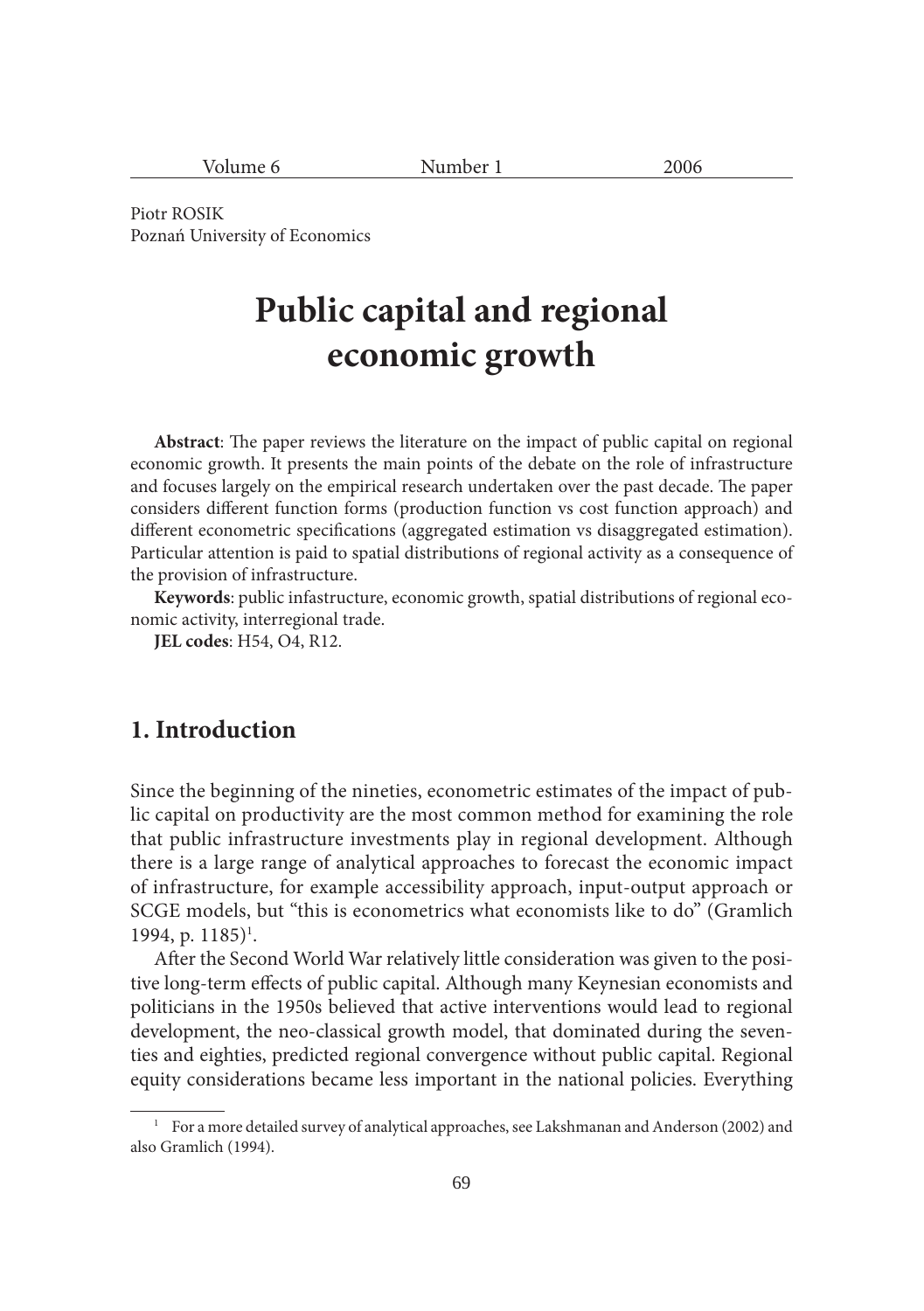| $ -$<br>$\sim$ $\sim$ $\sim$<br>1.4411041 |  |
|-------------------------------------------|--|
|                                           |  |

Piotr ROSIK Poznań University of Economics

# **Public capital and regional economic growth**

**Abstract**: The paper reviews the literature on the impact of public capital on regional economic growth. It presents the main points of the debate on the role of infrastructure and focuses largely on the empirical research undertaken over the past decade. The paper considers different function forms (production function vs cost function approach) and different econometric specifications (aggregated estimation vs disaggregated estimation). Particular attention is paid to spatial distributions of regional activity as a consequence of the provision of infrastructure.

**Keywords**: public infastructure, economic growth, spatial distributions of regional economic activity, interregional trade.

**JEL codes**: H54, O4, R12.

## **1. Introduction**

Since the beginning of the nineties, econometric estimates of the impact of public capital on productivity are the most common method for examining the role that public infrastructure investments play in regional development. Although there is a large range of analytical approaches to forecast the economic impact of infrastructure, for example accessibility approach, input-output approach or SCGE models, but "this is econometrics what economists like to do" (Gramlich 1994, p. 1185)<sup>1</sup>.

After the Second World War relatively little consideration was given to the positive long-term effects of public capital. Although many Keynesian economists and politicians in the 1950s believed that active interventions would lead to regional development, the neo-classical growth model, that dominated during the seventies and eighties, predicted regional convergence without public capital. Regional equity considerations became less important in the national policies. Everything

<sup>&</sup>lt;sup>1</sup> For a more detailed survey of analytical approaches, see Lakshmanan and Anderson (2002) and also Gramlich (1994).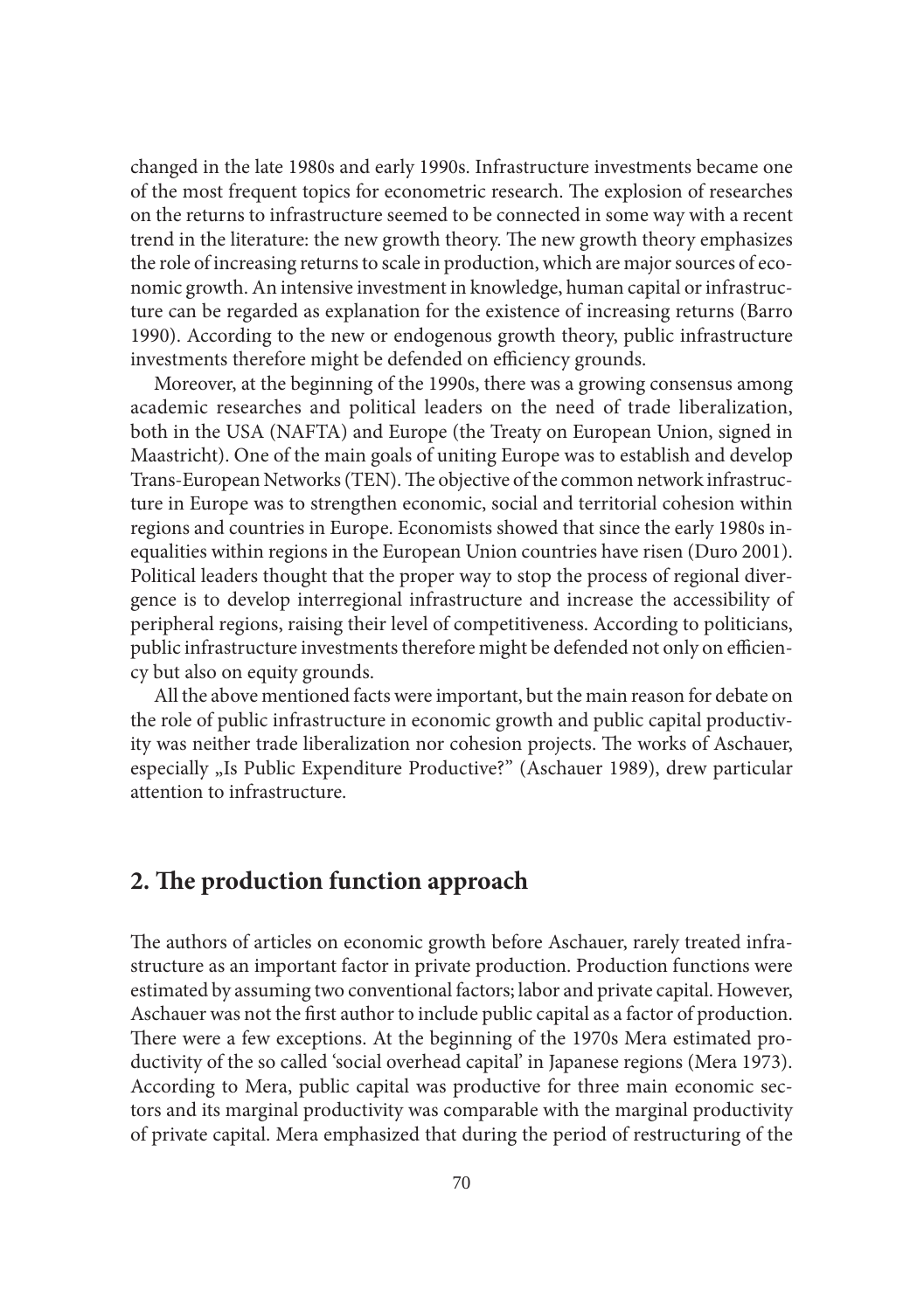changed in the late 1980s and early 1990s. Infrastructure investments became one of the most frequent topics for econometric research. The explosion of researches on the returns to infrastructure seemed to be connected in some way with a recent trend in the literature: the new growth theory. The new growth theory emphasizes the role of increasing returns to scale in production, which are major sources of economic growth. An intensive investment in knowledge, human capital or infrastructure can be regarded as explanation for the existence of increasing returns (Barro 1990). According to the new or endogenous growth theory, public infrastructure investments therefore might be defended on efficiency grounds.

Moreover, at the beginning of the 1990s, there was a growing consensus among academic researches and political leaders on the need of trade liberalization, both in the USA (NAFTA) and Europe (the Treaty on European Union, signed in Maastricht). One of the main goals of uniting Europe was to establish and develop Trans-European Networks (TEN). The objective of the common network infrastructure in Europe was to strengthen economic, social and territorial cohesion within regions and countries in Europe. Economists showed that since the early 1980s inequalities within regions in the European Union countries have risen (Duro 2001). Political leaders thought that the proper way to stop the process of regional divergence is to develop interregional infrastructure and increase the accessibility of peripheral regions, raising their level of competitiveness. According to politicians, public infrastructure investments therefore might be defended not only on efficiency but also on equity grounds.

All the above mentioned facts were important, but the main reason for debate on the role of public infrastructure in economic growth and public capital productivity was neither trade liberalization nor cohesion projects. The works of Aschauer, especially "Is Public Expenditure Productive?" (Aschauer 1989), drew particular attention to infrastructure.

# **2. The production function approach**

The authors of articles on economic growth before Aschauer, rarely treated infrastructure as an important factor in private production. Production functions were estimated by assuming two conventional factors; labor and private capital. However, Aschauer was not the first author to include public capital as a factor of production. There were a few exceptions. At the beginning of the 1970s Mera estimated productivity of the so called 'social overhead capital' in Japanese regions (Mera 1973). According to Mera, public capital was productive for three main economic sectors and its marginal productivity was comparable with the marginal productivity of private capital. Mera emphasized that during the period of restructuring of the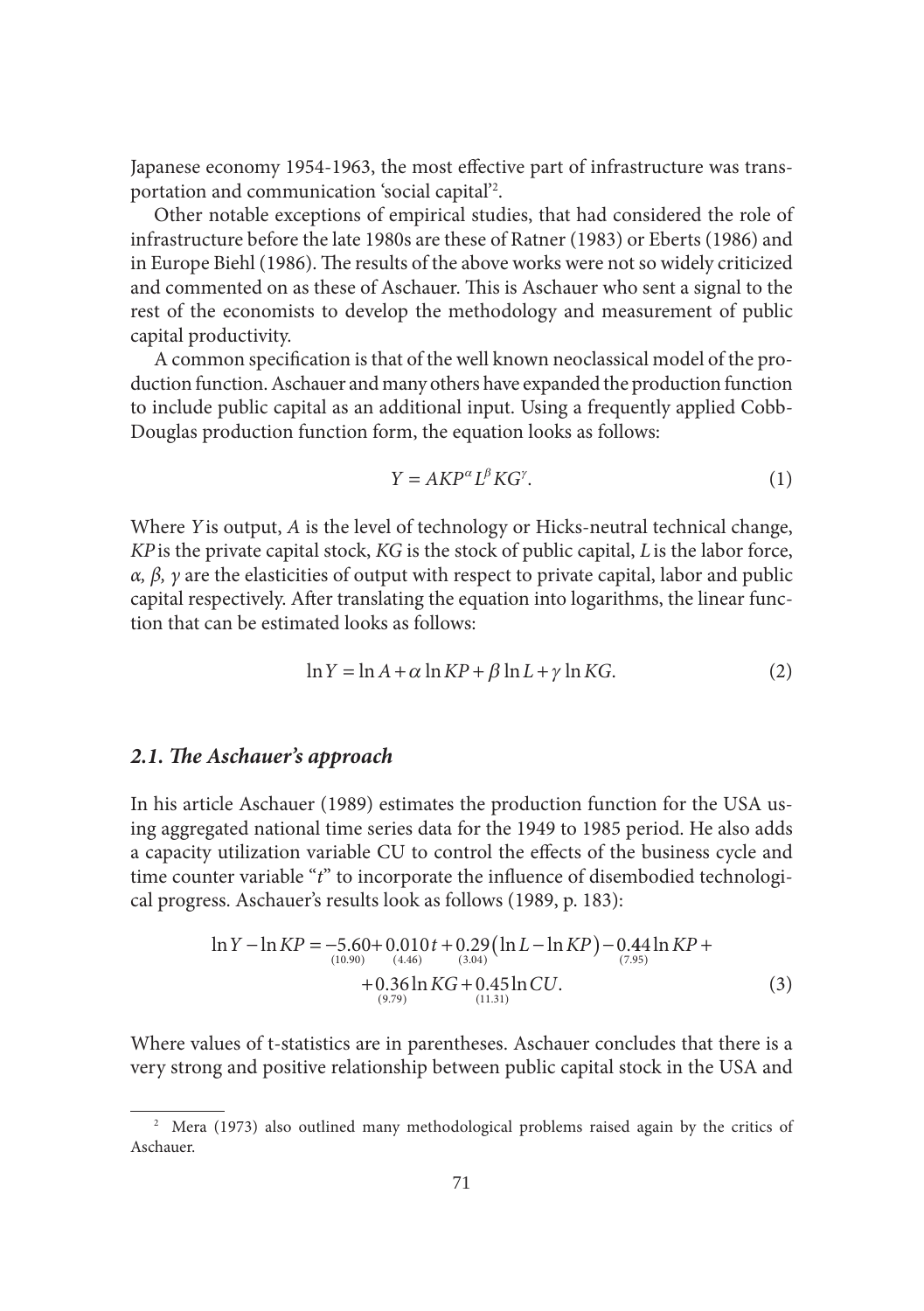Japanese economy 1954-1963, the most effective part of infrastructure was transportation and communication 'social capital'2 .

Other notable exceptions of empirical studies, that had considered the role of infrastructure before the late 1980s are these of Ratner (1983) or Eberts (1986) and in Europe Biehl (1986). The results of the above works were not so widely criticized and commented on as these of Aschauer. This is Aschauer who sent a signal to the rest of the economists to develop the methodology and measurement of public capital productivity.

A common specification is that of the well known neoclassical model of the production function. Aschauer and many others have expanded the production function to include public capital as an additional input. Using a frequently applied Cobb-Douglas production function form, the equation looks as follows:

$$
Y = AKP^{\alpha}L^{\beta}KG^{\gamma}.
$$
 (1)

Where *Y*is output, *A* is the level of technology or Hicks-neutral technical change, *KP*is the private capital stock, *KG* is the stock of public capital, *L*is the labor force, *α, β, γ* are the elasticities of output with respect to private capital, labor and public capital respectively. After translating the equation into logarithms, the linear function that can be estimated looks as follows:

$$
\ln Y = \ln A + \alpha \ln KP + \beta \ln L + \gamma \ln KG. \tag{2}
$$

#### 2.1. The Aschauer's approach

In his article Aschauer (1989) estimates the production function for the USA using aggregated national time series data for the 1949 to 1985 period. He also adds a capacity utilization variable CU to control the effects of the business cycle and time counter variable "*t*" to incorporate the influence of disembodied technological progress. Aschauer's results look as follows (1989, p. 183):

$$
\ln Y - \ln KP = -5.60 + 0.010t + 0.29(\ln L - \ln KP) - 0.44 \ln KP +
$$
  
+ 0.36 \ln KG + 0.45 \ln CU.  
(3)  
(3)

Where values of t-statistics are in parentheses. Aschauer concludes that there is a very strong and positive relationship between public capital stock in the USA and

<sup>&</sup>lt;sup>2</sup> Mera (1973) also outlined many methodological problems raised again by the critics of Aschauer.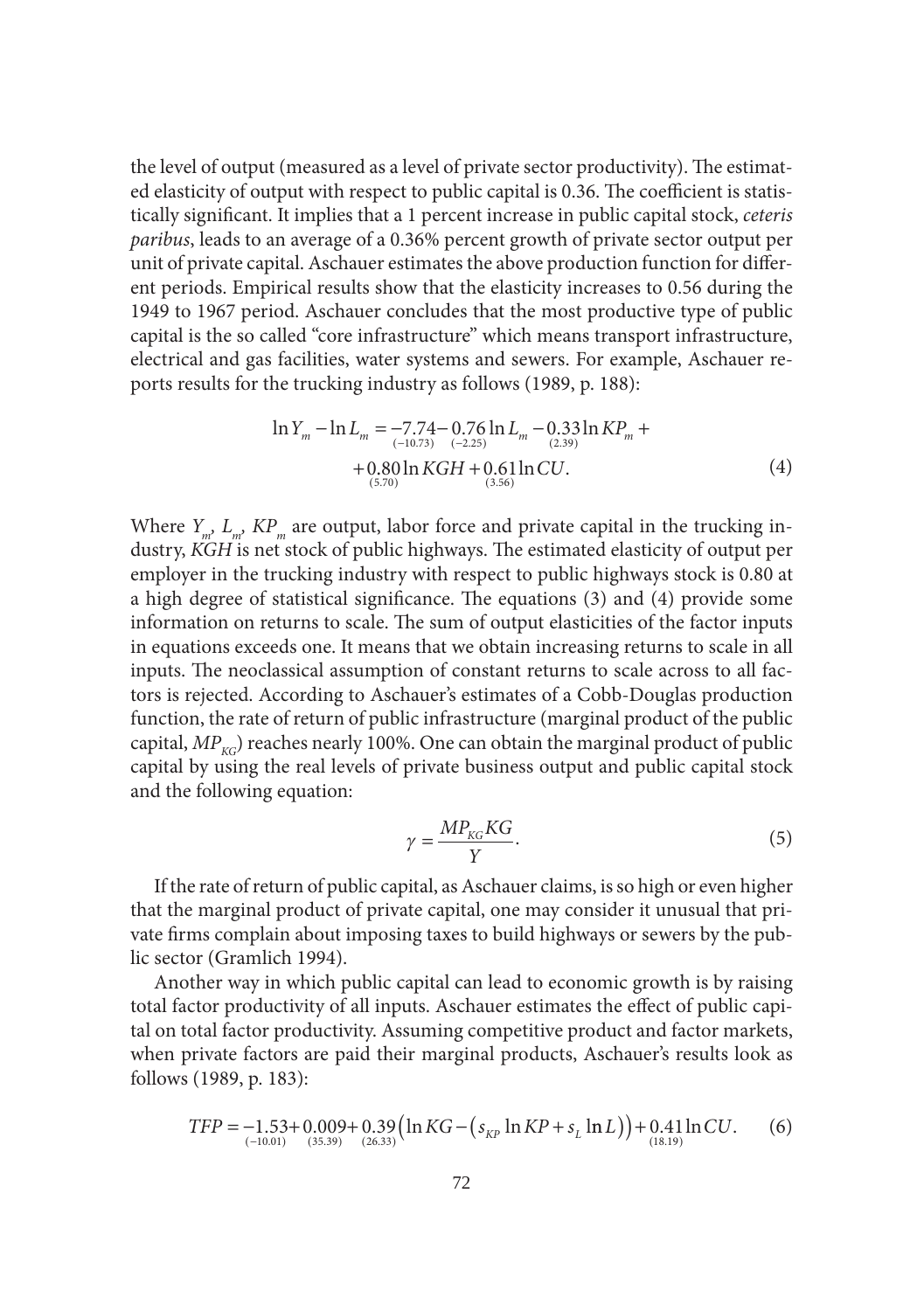the level of output (measured as a level of private sector productivity). The estimated elasticity of output with respect to public capital is 0.36. The coefficient is statistically significant. It implies that a 1 percent increase in public capital stock, *ceteris paribus*, leads to an average of a 0.36% percent growth of private sector output per unit of private capital. Aschauer estimates the above production function for different periods. Empirical results show that the elasticity increases to 0.56 during the 1949 to 1967 period. Aschauer concludes that the most productive type of public capital is the so called "core infrastructure" which means transport infrastructure, electrical and gas facilities, water systems and sewers. For example, Aschauer reports results for the trucking industry as follows (1989, p. 188):

$$
\ln Y_m - \ln L_m = -7.74 - 0.76 \ln L_m - 0.33 \ln KP_m ++ 0.80 \ln KGH + 0.61 \ln CU.(5.70)
$$
 (3.56)

Where  $Y_{\mu}$ ,  $L_{\mu}$ ,  $KP_{\mu}$  are output, labor force and private capital in the trucking industry, *KGH* is net stock of public highways. The estimated elasticity of output per employer in the trucking industry with respect to public highways stock is 0.80 at a high degree of statistical significance. The equations  $(3)$  and  $(4)$  provide some information on returns to scale. The sum of output elasticities of the factor inputs in equations exceeds one. It means that we obtain increasing returns to scale in all inputs. The neoclassical assumption of constant returns to scale across to all factors is rejected. According to Aschauer's estimates of a Cobb-Douglas production function, the rate of return of public infrastructure (marginal product of the public capital,  $MP_{Kc}$ ) reaches nearly 100%. One can obtain the marginal product of public capital by using the real levels of private business output and public capital stock and the following equation:

$$
\gamma = \frac{MP_{KG}KG}{Y}.\tag{5}
$$

If the rate of return of public capital, as Aschauer claims, is so high or even higher that the marginal product of private capital, one may consider it unusual that private firms complain about imposing taxes to build highways or sewers by the public sector (Gramlich 1994).

Another way in which public capital can lead to economic growth is by raising total factor productivity of all inputs. Aschauer estimates the effect of public capital on total factor productivity. Assuming competitive product and factor markets, when private factors are paid their marginal products, Aschauer's results look as follows (1989, p. 183):

$$
TFP = -1.53 + 0.009 + 0.39 \left( \ln KG - \left( s_{KP} \ln KP + s_L \ln L \right) \right) + 0.41 \ln CU. \tag{6}
$$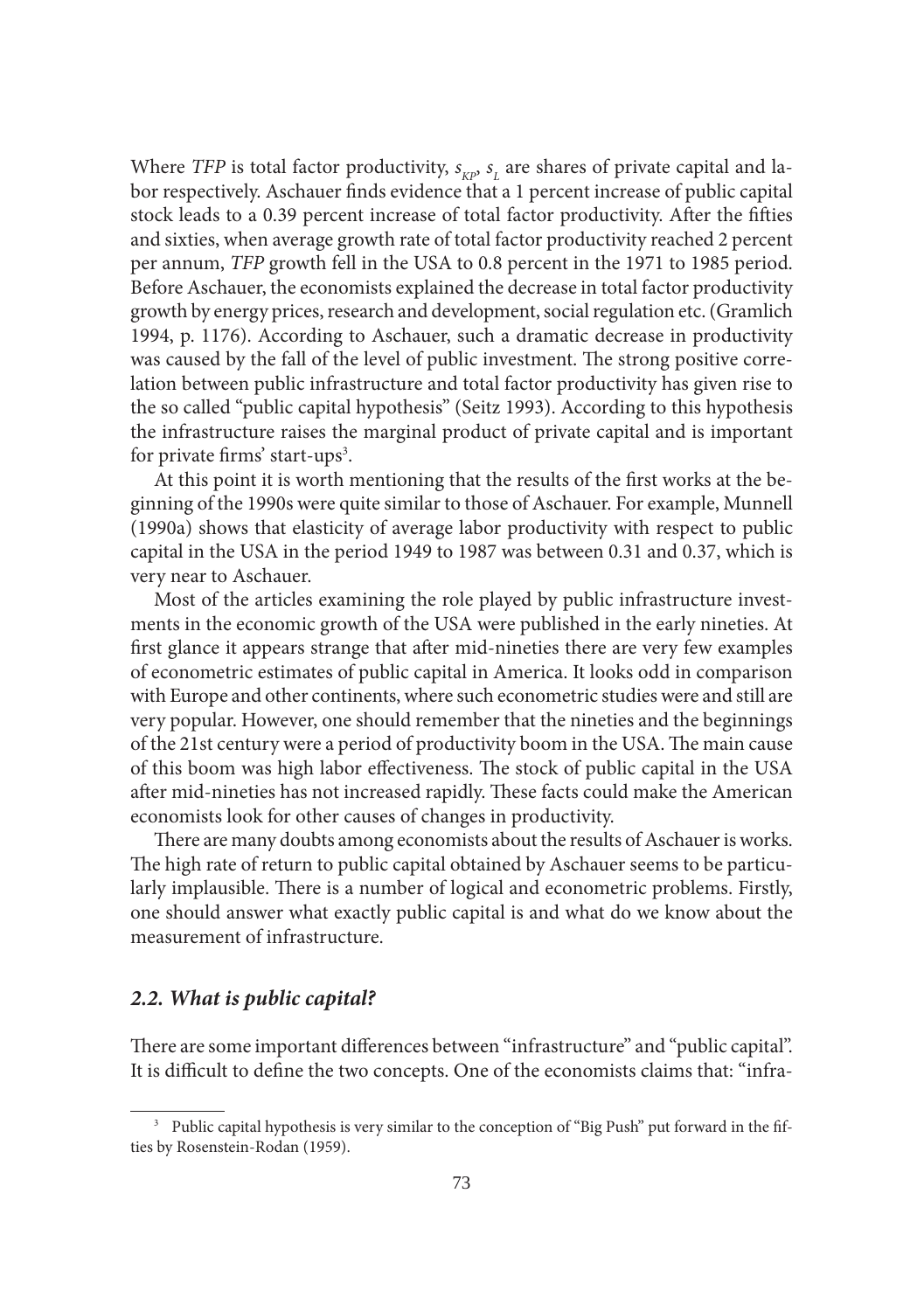Where *TFP* is total factor productivity,  $s_{\kappa P}$ ,  $s_{\iota}$  are shares of private capital and labor respectively. Aschauer finds evidence that a 1 percent increase of public capital stock leads to a 0.39 percent increase of total factor productivity. After the fifties and sixties, when average growth rate of total factor productivity reached 2 percent per annum, *TFP* growth fell in the USA to 0.8 percent in the 1971 to 1985 period. Before Aschauer, the economists explained the decrease in total factor productivity growth by energy prices, research and development, social regulation etc. (Gramlich 1994, p. 1176). According to Aschauer, such a dramatic decrease in productivity was caused by the fall of the level of public investment. The strong positive correlation between public infrastructure and total factor productivity has given rise to the so called "public capital hypothesis" (Seitz 1993). According to this hypothesis the infrastructure raises the marginal product of private capital and is important for private firms' start-ups<sup>3</sup>.

At this point it is worth mentioning that the results of the first works at the beginning of the 1990s were quite similar to those of Aschauer. For example, Munnell (1990a) shows that elasticity of average labor productivity with respect to public capital in the USA in the period 1949 to 1987 was between 0.31 and 0.37, which is very near to Aschauer.

Most of the articles examining the role played by public infrastructure investments in the economic growth of the USA were published in the early nineties. At first glance it appears strange that after mid-nineties there are very few examples of econometric estimates of public capital in America. It looks odd in comparison with Europe and other continents, where such econometric studies were and still are very popular. However, one should remember that the nineties and the beginnings of the 21st century were a period of productivity boom in the USA. The main cause of this boom was high labor effectiveness. The stock of public capital in the USA after mid-nineties has not increased rapidly. These facts could make the American economists look for other causes of changes in productivity.

There are many doubts among economists about the results of Aschauer is works. The high rate of return to public capital obtained by Aschauer seems to be particularly implausible. There is a number of logical and econometric problems. Firstly, one should answer what exactly public capital is and what do we know about the measurement of infrastructure.

## *2.2. What is public capital?*

There are some important differences between "infrastructure" and "public capital". It is difficult to define the two concepts. One of the economists claims that: "infra-

<sup>&</sup>lt;sup>3</sup> Public capital hypothesis is very similar to the conception of "Big Push" put forward in the fifties by Rosenstein-Rodan (1959).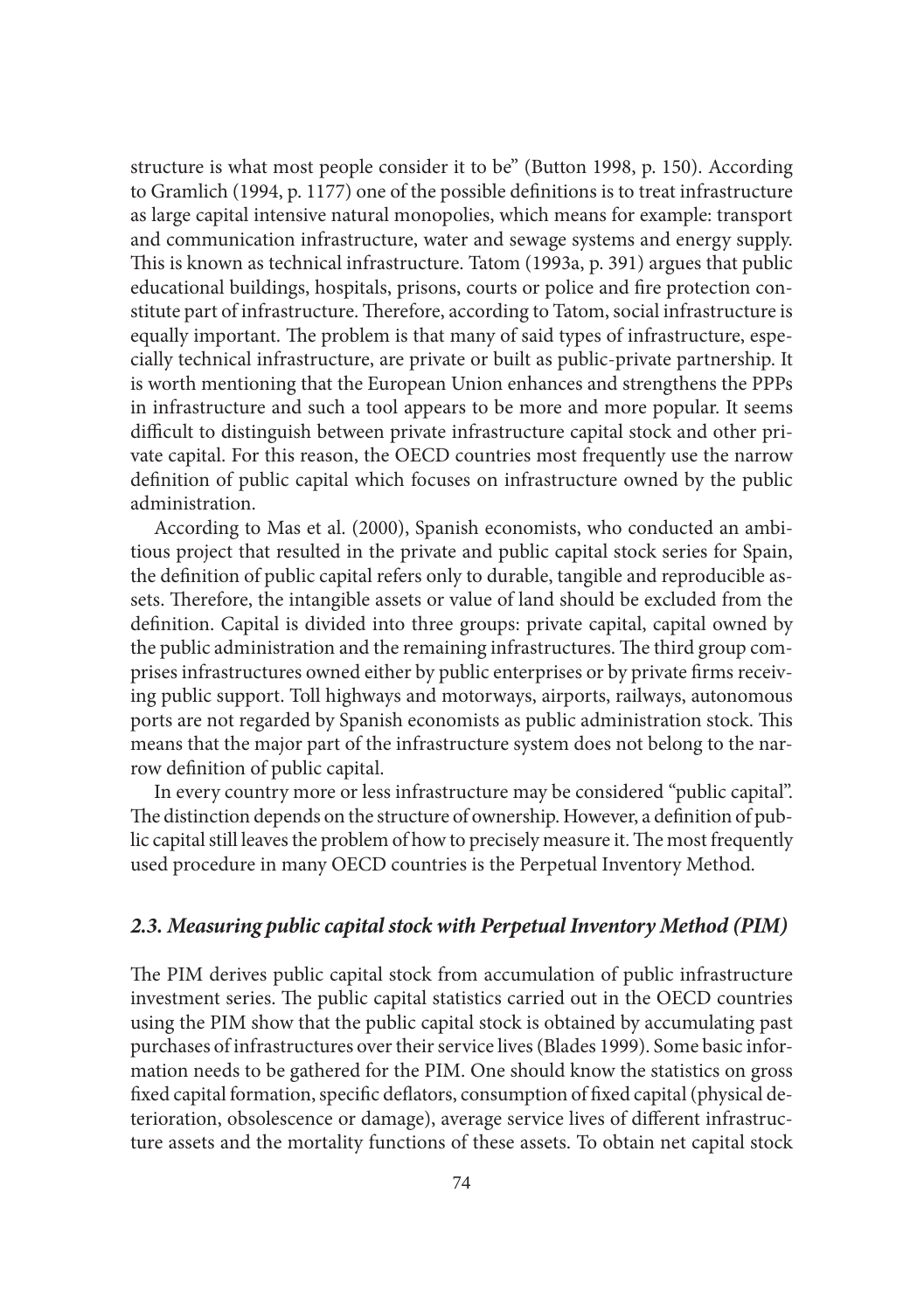structure is what most people consider it to be" (Button 1998, p. 150). According to Gramlich (1994, p. 1177) one of the possible definitions is to treat infrastructure as large capital intensive natural monopolies, which means for example: transport and communication infrastructure, water and sewage systems and energy supply. This is known as technical infrastructure. Tatom (1993a, p. 391) argues that public educational buildings, hospitals, prisons, courts or police and fire protection constitute part of infrastructure. Therefore, according to Tatom, social infrastructure is equally important. The problem is that many of said types of infrastructure, especially technical infrastructure, are private or built as public-private partnership. It is worth mentioning that the European Union enhances and strengthens the PPPs in infrastructure and such a tool appears to be more and more popular. It seems difficult to distinguish between private infrastructure capital stock and other private capital. For this reason, the OECD countries most frequently use the narrow definition of public capital which focuses on infrastructure owned by the public administration.

According to Mas et al. (2000), Spanish economists, who conducted an ambitious project that resulted in the private and public capital stock series for Spain, the definition of public capital refers only to durable, tangible and reproducible assets. Therefore, the intangible assets or value of land should be excluded from the definition. Capital is divided into three groups: private capital, capital owned by the public administration and the remaining infrastructures. The third group comprises infrastructures owned either by public enterprises or by private firms receiving public support. Toll highways and motorways, airports, railways, autonomous ports are not regarded by Spanish economists as public administration stock. This means that the major part of the infrastructure system does not belong to the narrow definition of public capital.

In every country more or less infrastructure may be considered "public capital". The distinction depends on the structure of ownership. However, a definition of public capital still leaves the problem of how to precisely measure it. The most frequently used procedure in many OECD countries is the Perpetual Inventory Method.

#### *2.3. Measuring public capital stock with Perpetual Inventory Method (PIM)*

The PIM derives public capital stock from accumulation of public infrastructure investment series. The public capital statistics carried out in the OECD countries using the PIM show that the public capital stock is obtained by accumulating past purchases of infrastructures over their service lives (Blades 1999). Some basic information needs to be gathered for the PIM. One should know the statistics on gross fixed capital formation, specific deflators, consumption of fixed capital (physical deterioration, obsolescence or damage), average service lives of different infrastructure assets and the mortality functions of these assets. To obtain net capital stock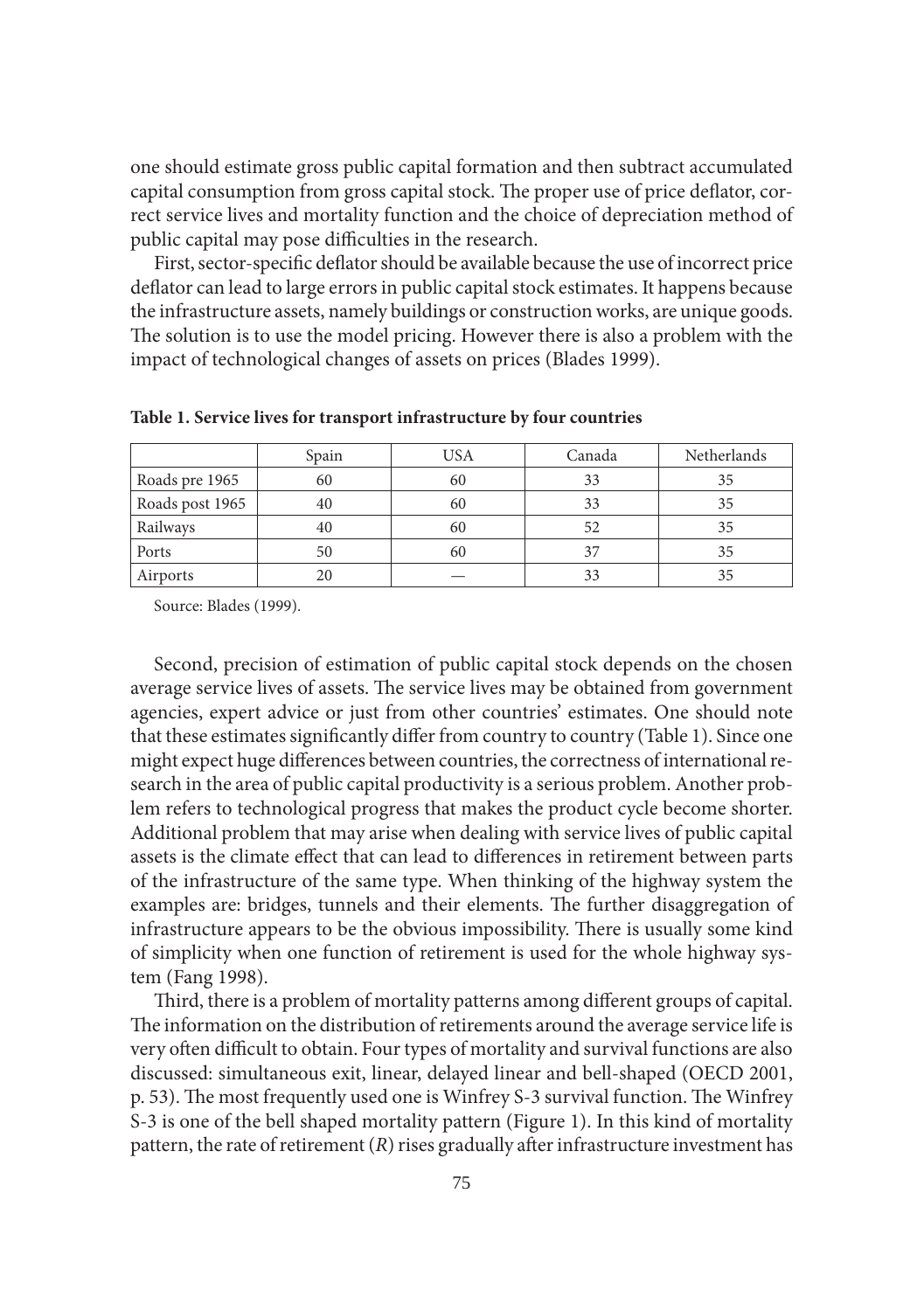one should estimate gross public capital formation and then subtract accumulated capital consumption from gross capital stock. The proper use of price deflator, correct service lives and mortality function and the choice of depreciation method of public capital may pose difficulties in the research.

First, sector-specific deflator should be available because the use of incorrect price deflator can lead to large errors in public capital stock estimates. It happens because the infrastructure assets, namely buildings or construction works, are unique goods. The solution is to use the model pricing. However there is also a problem with the impact of technological changes of assets on prices (Blades 1999).

|                 | Spain | <b>USA</b> | Canada | Netherlands |
|-----------------|-------|------------|--------|-------------|
| Roads pre 1965  | 60    | 60         | 33     | 35          |
| Roads post 1965 | 40    | 60         | 33     | 35          |
| Railways        | 40    | 60         | 52     | 35          |
| Ports           | 50    | 60         | 37     | 35          |
| Airports        |       |            | 33     |             |

**Table 1. Service lives for transport infrastructure by four countries**

Source: Blades (1999).

Second, precision of estimation of public capital stock depends on the chosen average service lives of assets. The service lives may be obtained from government agencies, expert advice or just from other countries' estimates. One should note that these estimates significantly differ from country to country (Table 1). Since one might expect huge differences between countries, the correctness of international research in the area of public capital productivity is a serious problem. Another problem refers to technological progress that makes the product cycle become shorter. Additional problem that may arise when dealing with service lives of public capital assets is the climate effect that can lead to differences in retirement between parts of the infrastructure of the same type. When thinking of the highway system the examples are: bridges, tunnels and their elements. The further disaggregation of infrastructure appears to be the obvious impossibility. There is usually some kind of simplicity when one function of retirement is used for the whole highway system (Fang 1998).

Third, there is a problem of mortality patterns among different groups of capital. The information on the distribution of retirements around the average service life is very often difficult to obtain. Four types of mortality and survival functions are also discussed: simultaneous exit, linear, delayed linear and bell-shaped (OECD 2001, p. 53). The most frequently used one is Winfrey S-3 survival function. The Winfrey S-3 is one of the bell shaped mortality pattern (Figure 1). In this kind of mortality pattern, the rate of retirement  $(R)$  rises gradually after infrastructure investment has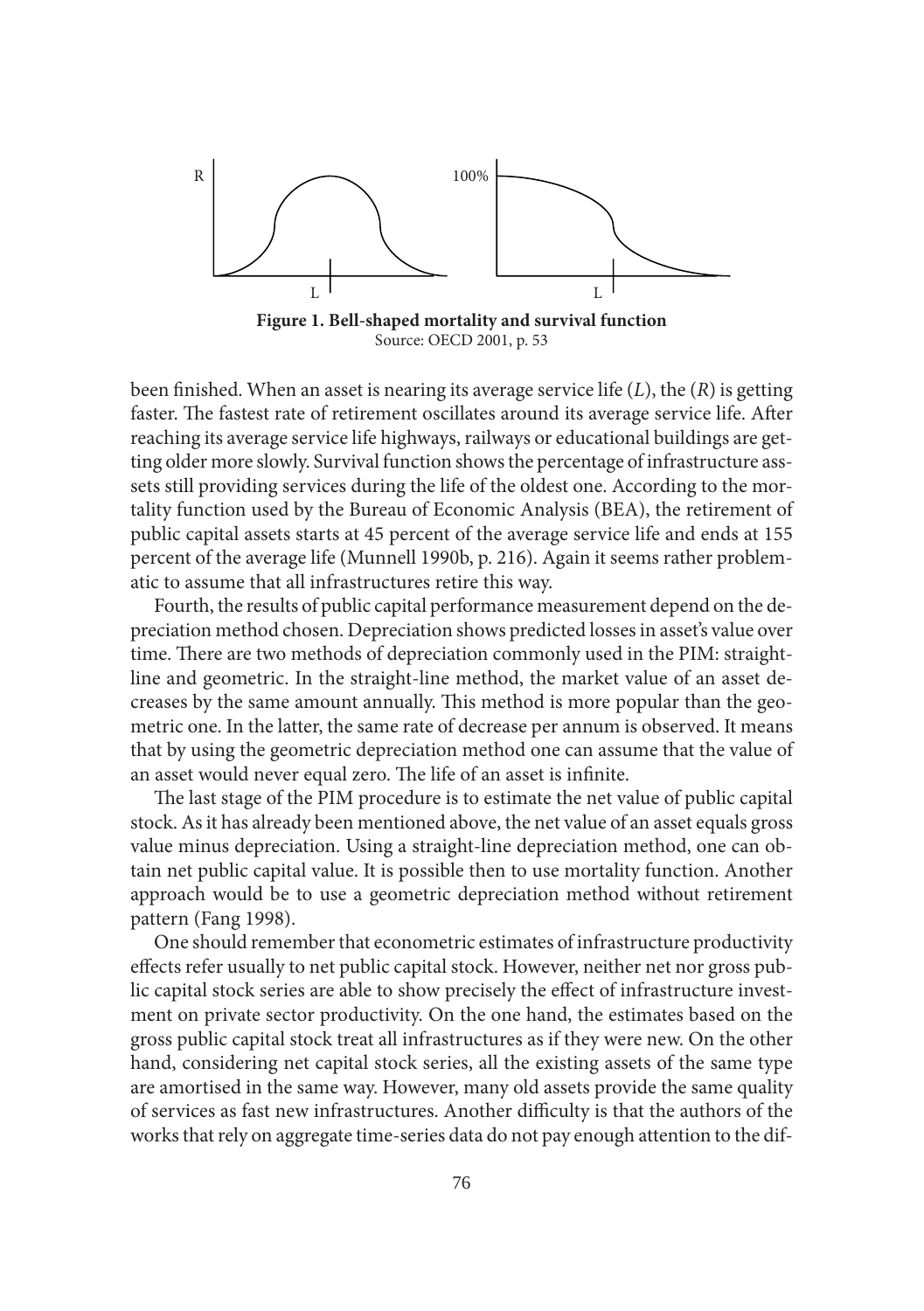

**Figure 1. Bell-shaped mortality and survival function** Source: OECD 2001, p. 53

been finished. When an asset is nearing its average service life  $(L)$ , the  $(R)$  is getting faster. The fastest rate of retirement oscillates around its average service life. After reaching its average service life highways, railways or educational buildings are getting older more slowly. Survival function shows the percentage of infrastructure asssets still providing services during the life of the oldest one. According to the mortality function used by the Bureau of Economic Analysis (BEA), the retirement of public capital assets starts at 45 percent of the average service life and ends at 155 percent of the average life (Munnell 1990b, p. 216). Again it seems rather problematic to assume that all infrastructures retire this way.

Fourth, the results of public capital performance measurement depend on the depreciation method chosen. Depreciation shows predicted losses in asset's value over time. There are two methods of depreciation commonly used in the PIM: straightline and geometric. In the straight-line method, the market value of an asset decreases by the same amount annually. This method is more popular than the geometric one. In the latter, the same rate of decrease per annum is observed. It means that by using the geometric depreciation method one can assume that the value of an asset would never equal zero. The life of an asset is infinite.

The last stage of the PIM procedure is to estimate the net value of public capital stock. As it has already been mentioned above, the net value of an asset equals gross value minus depreciation. Using a straight-line depreciation method, one can obtain net public capital value. It is possible then to use mortality function. Another approach would be to use a geometric depreciation method without retirement pattern (Fang 1998).

One should remember that econometric estimates of infrastructure productivity effects refer usually to net public capital stock. However, neither net nor gross public capital stock series are able to show precisely the effect of infrastructure investment on private sector productivity. On the one hand, the estimates based on the gross public capital stock treat all infrastructures as if they were new. On the other hand, considering net capital stock series, all the existing assets of the same type are amortised in the same way. However, many old assets provide the same quality of services as fast new infrastructures. Another difficulty is that the authors of the works that rely on aggregate time-series data do not pay enough attention to the dif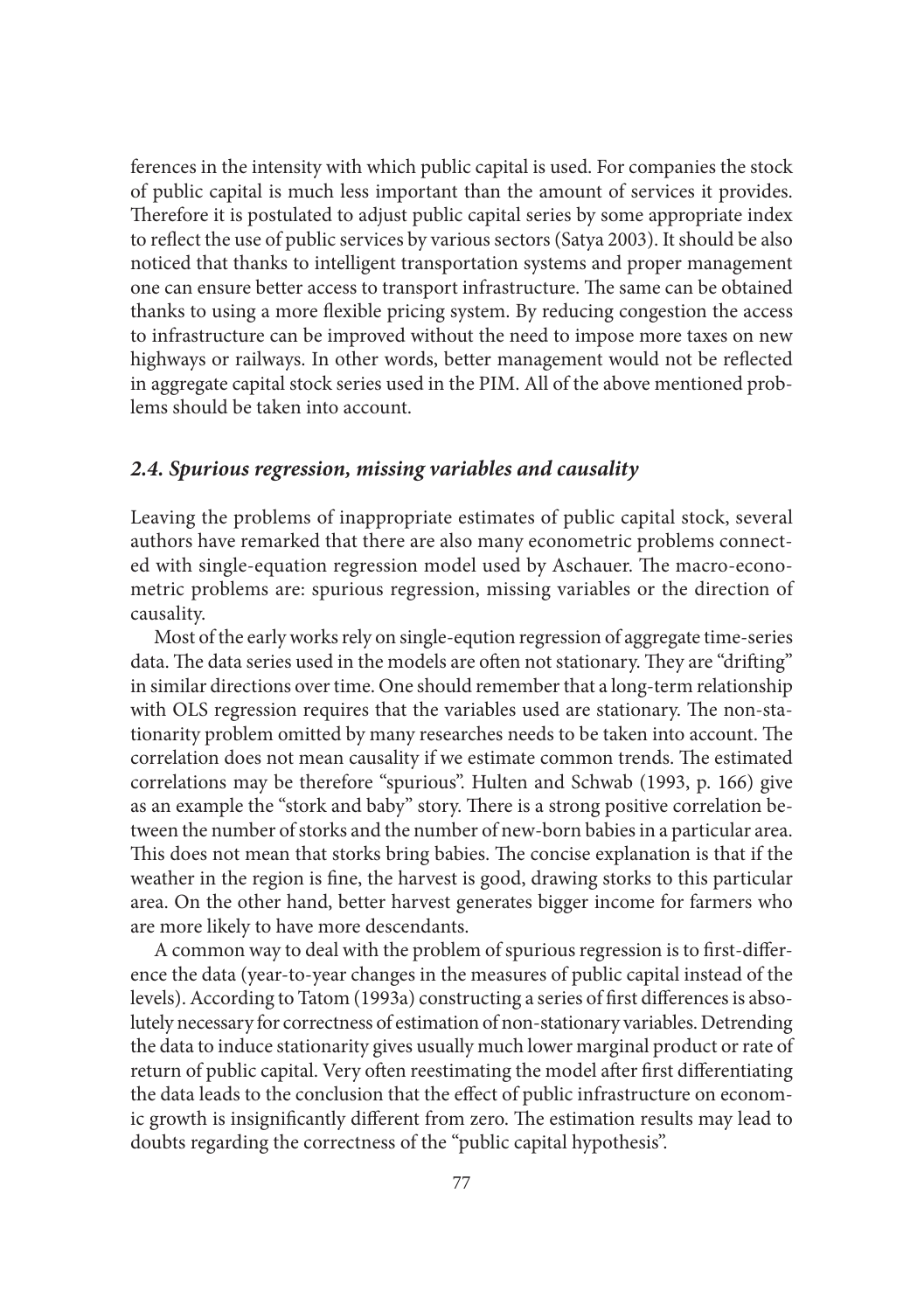ferences in the intensity with which public capital is used. For companies the stock of public capital is much less important than the amount of services it provides. Therefore it is postulated to adjust public capital series by some appropriate index to reflect the use of public services by various sectors (Satya 2003). It should be also noticed that thanks to intelligent transportation systems and proper management one can ensure better access to transport infrastructure. The same can be obtained thanks to using a more flexible pricing system. By reducing congestion the access to infrastructure can be improved without the need to impose more taxes on new highways or railways. In other words, better management would not be reflected in aggregate capital stock series used in the PIM. All of the above mentioned problems should be taken into account.

#### *2.4. Spurious regression, missing variables and causality*

Leaving the problems of inappropriate estimates of public capital stock, several authors have remarked that there are also many econometric problems connected with single-equation regression model used by Aschauer. The macro-econometric problems are: spurious regression, missing variables or the direction of causality.

Most of the early works rely on single-eqution regression of aggregate time-series data. The data series used in the models are often not stationary. They are "drifting" in similar directions over time. One should remember that a long-term relationship with OLS regression requires that the variables used are stationary. The non-stationarity problem omitted by many researches needs to be taken into account. The correlation does not mean causality if we estimate common trends. The estimated correlations may be therefore "spurious". Hulten and Schwab (1993, p. 166) give as an example the "stork and baby" story. There is a strong positive correlation between the number of storks and the number of new-born babies in a particular area. This does not mean that storks bring babies. The concise explanation is that if the weather in the region is fine, the harvest is good, drawing storks to this particular area. On the other hand, better harvest generates bigger income for farmers who are more likely to have more descendants.

A common way to deal with the problem of spurious regression is to first-difference the data (year-to-year changes in the measures of public capital instead of the levels). According to Tatom (1993a) constructing a series of first differences is absolutely necessary for correctness of estimation of non-stationary variables. Detrending the data to induce stationarity gives usually much lower marginal product or rate of return of public capital. Very often reestimating the model after first differentiating the data leads to the conclusion that the effect of public infrastructure on economic growth is insignificantly different from zero. The estimation results may lead to doubts regarding the correctness of the "public capital hypothesis".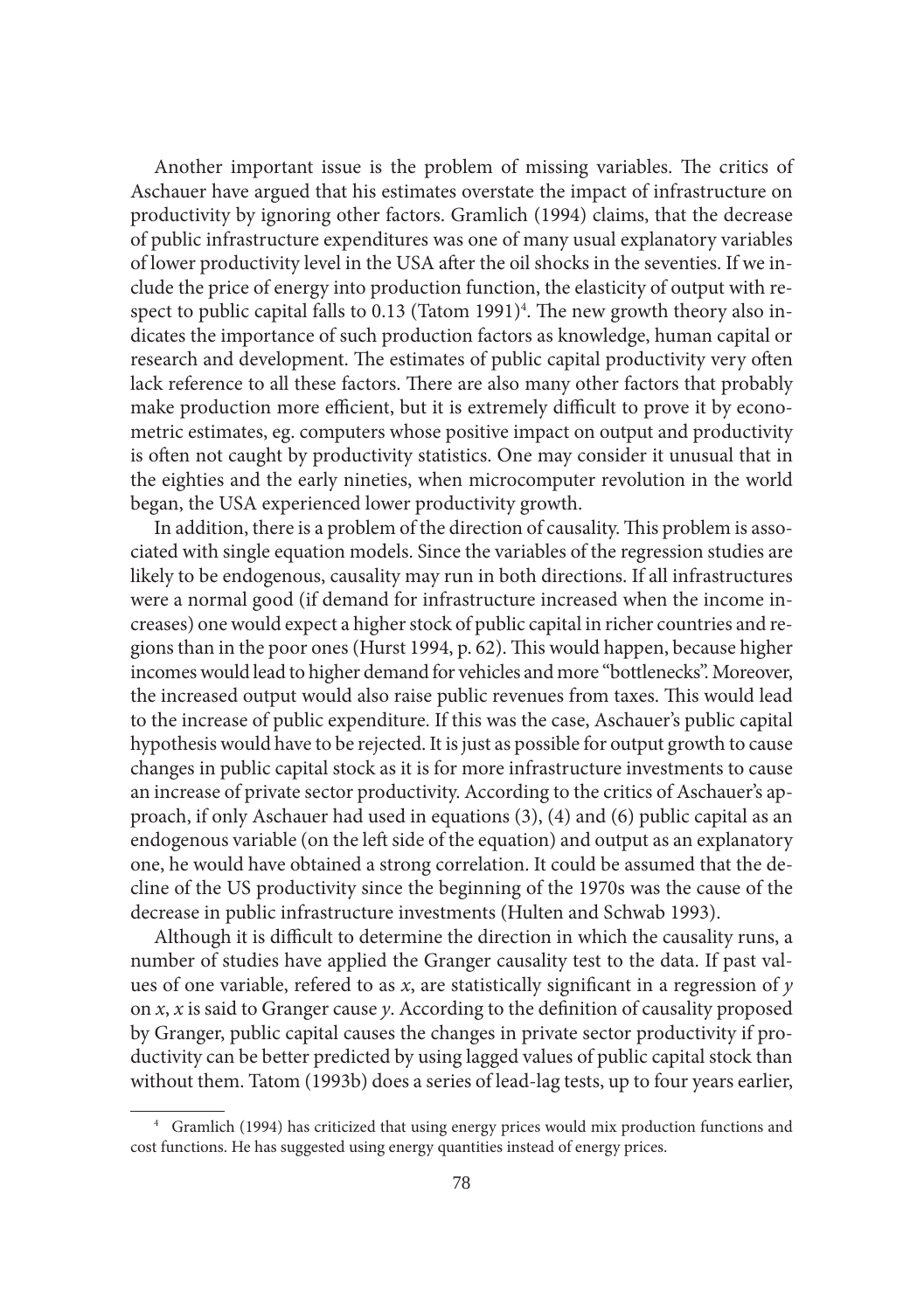Another important issue is the problem of missing variables. The critics of Aschauer have argued that his estimates overstate the impact of infrastructure on productivity by ignoring other factors. Gramlich (1994) claims, that the decrease of public infrastructure expenditures was one of many usual explanatory variables of lower productivity level in the USA after the oil shocks in the seventies. If we include the price of energy into production function, the elasticity of output with respect to public capital falls to 0.13 (Tatom 1991)<sup>4</sup>. The new growth theory also indicates the importance of such production factors as knowledge, human capital or research and development. The estimates of public capital productivity very often lack reference to all these factors. There are also many other factors that probably make production more efficient, but it is extremely difficult to prove it by econometric estimates, eg. computers whose positive impact on output and productivity is often not caught by productivity statistics. One may consider it unusual that in the eighties and the early nineties, when microcomputer revolution in the world began, the USA experienced lower productivity growth.

In addition, there is a problem of the direction of causality. This problem is associated with single equation models. Since the variables of the regression studies are likely to be endogenous, causality may run in both directions. If all infrastructures were a normal good (if demand for infrastructure increased when the income increases) one would expect a higher stock of public capital in richer countries and regions than in the poor ones (Hurst 1994, p. 62). This would happen, because higher incomes would lead to higher demand for vehicles and more "bottlenecks". Moreover, the increased output would also raise public revenues from taxes. This would lead to the increase of public expenditure. If this was the case, Aschauer's public capital hypothesis would have to be rejected. It is just as possible for output growth to cause changes in public capital stock as it is for more infrastructure investments to cause an increase of private sector productivity. According to the critics of Aschauer's approach, if only Aschauer had used in equations (3), (4) and (6) public capital as an endogenous variable (on the left side of the equation) and output as an explanatory one, he would have obtained a strong correlation. It could be assumed that the decline of the US productivity since the beginning of the 1970s was the cause of the decrease in public infrastructure investments (Hulten and Schwab 1993).

Although it is difficult to determine the direction in which the causality runs, a number of studies have applied the Granger causality test to the data. If past values of one variable, refered to as  $x$ , are statistically significant in a regression of  $y$ on  $x$ ,  $x$  is said to Granger cause  $y$ . According to the definition of causality proposed by Granger, public capital causes the changes in private sector productivity if productivity can be better predicted by using lagged values of public capital stock than without them. Tatom (1993b) does a series of lead-lag tests, up to four years earlier,

<sup>4</sup> Gramlich (1994) has criticized that using energy prices would mix production functions and cost functions. He has suggested using energy quantities instead of energy prices.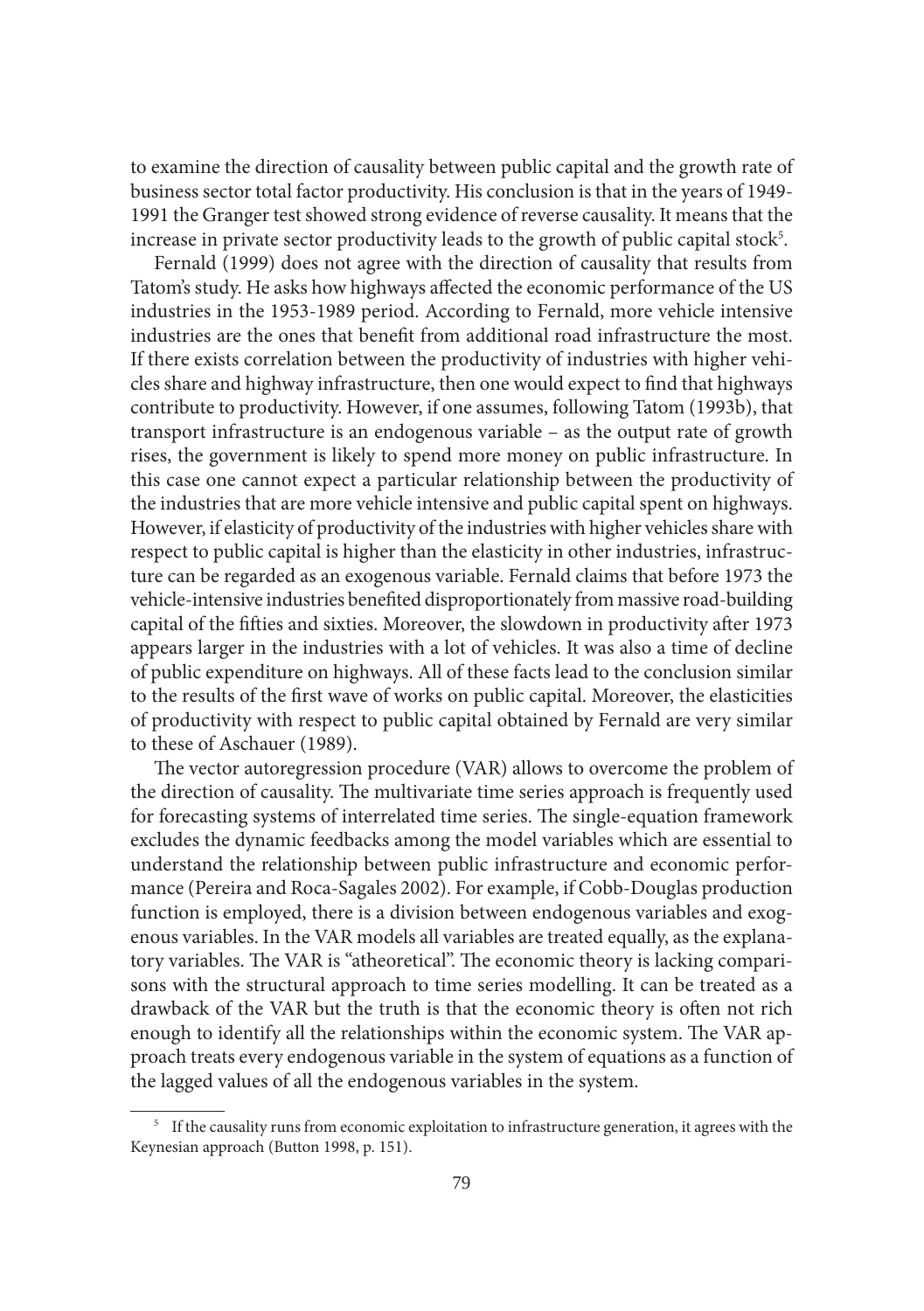to examine the direction of causality between public capital and the growth rate of business sector total factor productivity. His conclusion is that in the years of 1949- 1991 the Granger test showed strong evidence of reverse causality. It means that the increase in private sector productivity leads to the growth of public capital stock $^5$ .

Fernald (1999) does not agree with the direction of causality that results from Tatom's study. He asks how highways affected the economic performance of the US industries in the 1953-1989 period. According to Fernald, more vehicle intensive industries are the ones that benefit from additional road infrastructure the most. If there exists correlation between the productivity of industries with higher vehicles share and highway infrastructure, then one would expect to find that highways contribute to productivity. However, if one assumes, following Tatom (1993b), that transport infrastructure is an endogenous variable – as the output rate of growth rises, the government is likely to spend more money on public infrastructure. In this case one cannot expect a particular relationship between the productivity of the industries that are more vehicle intensive and public capital spent on highways. However, if elasticity of productivity of the industries with higher vehicles share with respect to public capital is higher than the elasticity in other industries, infrastructure can be regarded as an exogenous variable. Fernald claims that before 1973 the vehicle-intensive industries benefited disproportionately from massive road-building capital of the fifties and sixties. Moreover, the slowdown in productivity after 1973 appears larger in the industries with a lot of vehicles. It was also a time of decline of public expenditure on highways. All of these facts lead to the conclusion similar to the results of the first wave of works on public capital. Moreover, the elasticities of productivity with respect to public capital obtained by Fernald are very similar to these of Aschauer (1989).

The vector autoregression procedure (VAR) allows to overcome the problem of the direction of causality. The multivariate time series approach is frequently used for forecasting systems of interrelated time series. The single-equation framework excludes the dynamic feedbacks among the model variables which are essential to understand the relationship between public infrastructure and economic performance (Pereira and Roca-Sagales 2002). For example, if Cobb-Douglas production function is employed, there is a division between endogenous variables and exogenous variables. In the VAR models all variables are treated equally, as the explanatory variables. The VAR is "atheoretical". The economic theory is lacking comparisons with the structural approach to time series modelling. It can be treated as a drawback of the VAR but the truth is that the economic theory is often not rich enough to identify all the relationships within the economic system. The VAR approach treats every endogenous variable in the system of equations as a function of the lagged values of all the endogenous variables in the system.

<sup>&</sup>lt;sup>5</sup> If the causality runs from economic exploitation to infrastructure generation, it agrees with the Keynesian approach (Button 1998, p. 151).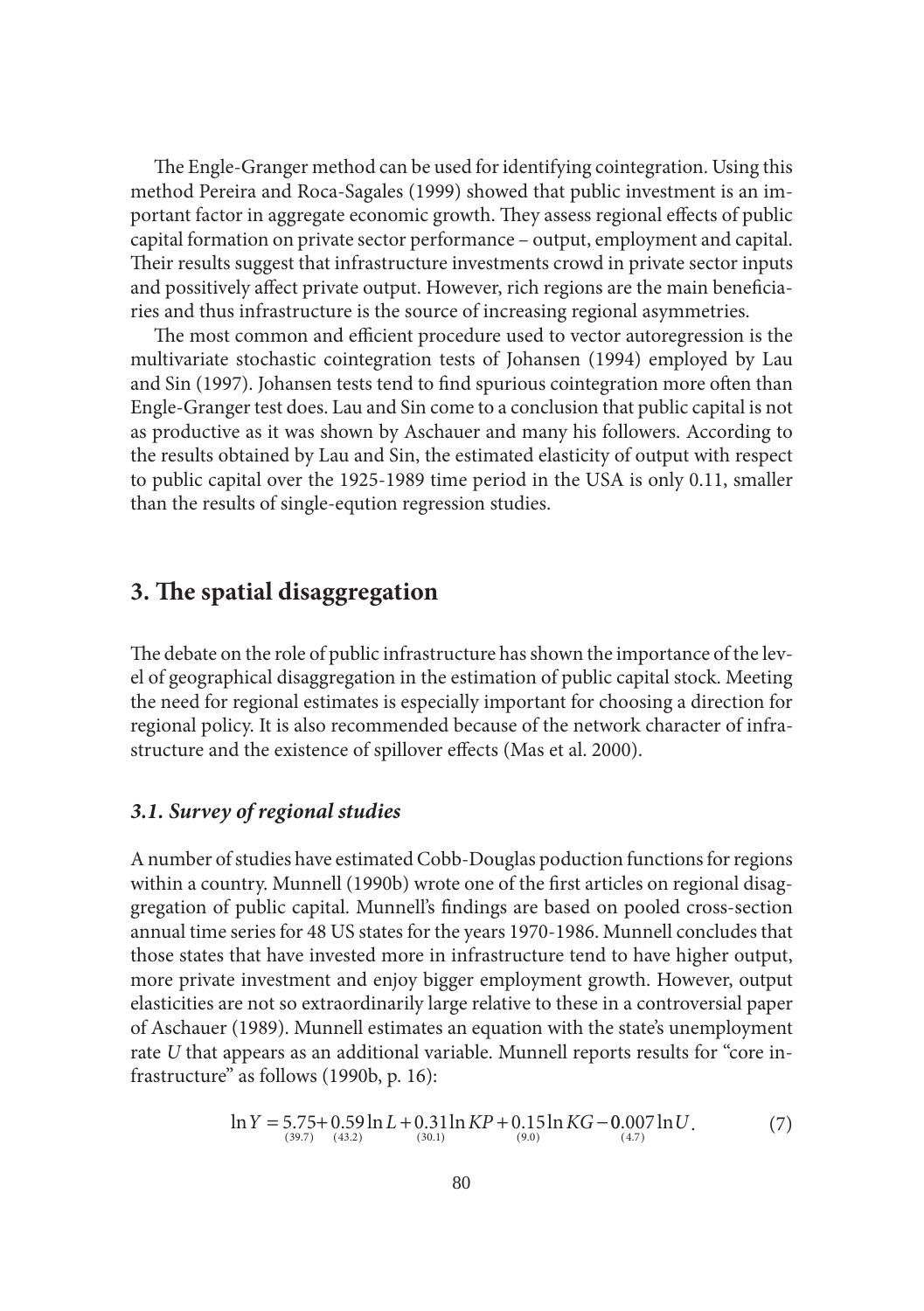The Engle-Granger method can be used for identifying cointegration. Using this method Pereira and Roca-Sagales (1999) showed that public investment is an important factor in aggregate economic growth. They assess regional effects of public capital formation on private sector performance – output, employment and capital. Their results suggest that infrastructure investments crowd in private sector inputs and possitively affect private output. However, rich regions are the main beneficiaries and thus infrastructure is the source of increasing regional asymmetries.

The most common and efficient procedure used to vector autoregression is the multivariate stochastic cointegration tests of Johansen (1994) employed by Lau and Sin (1997). Johansen tests tend to find spurious cointegration more often than Engle-Granger test does. Lau and Sin come to a conclusion that public capital is not as productive as it was shown by Aschauer and many his followers. According to the results obtained by Lau and Sin, the estimated elasticity of output with respect to public capital over the 1925-1989 time period in the USA is only 0.11, smaller than the results of single-eqution regression studies.

## **3. The spatial disaggregation**

The debate on the role of public infrastructure has shown the importance of the level of geographical disaggregation in the estimation of public capital stock. Meeting the need for regional estimates is especially important for choosing a direction for regional policy. It is also recommended because of the network character of infrastructure and the existence of spillover effects (Mas et al. 2000).

#### *3.1. Survey of regional studies*

A number of studies have estimated Cobb-Douglas poduction functions for regions within a country. Munnell (1990b) wrote one of the first articles on regional disaggregation of public capital. Munnell's findings are based on pooled cross-section annual time series for 48 US states for the years 1970-1986. Munnell concludes that those states that have invested more in infrastructure tend to have higher output, more private investment and enjoy bigger employment growth. However, output elasticities are not so extraordinarily large relative to these in a controversial paper of Aschauer (1989). Munnell estimates an equation with the state's unemployment rate *U* that appears as an additional variable. Munnell reports results for "core infrastructure" as follows (1990b, p. 16):

$$
\ln Y = 5.75 + 0.59 \ln L + 0.31 \ln KP + 0.15 \ln KG - 0.007 \ln U.
$$
  
(30.1) (7)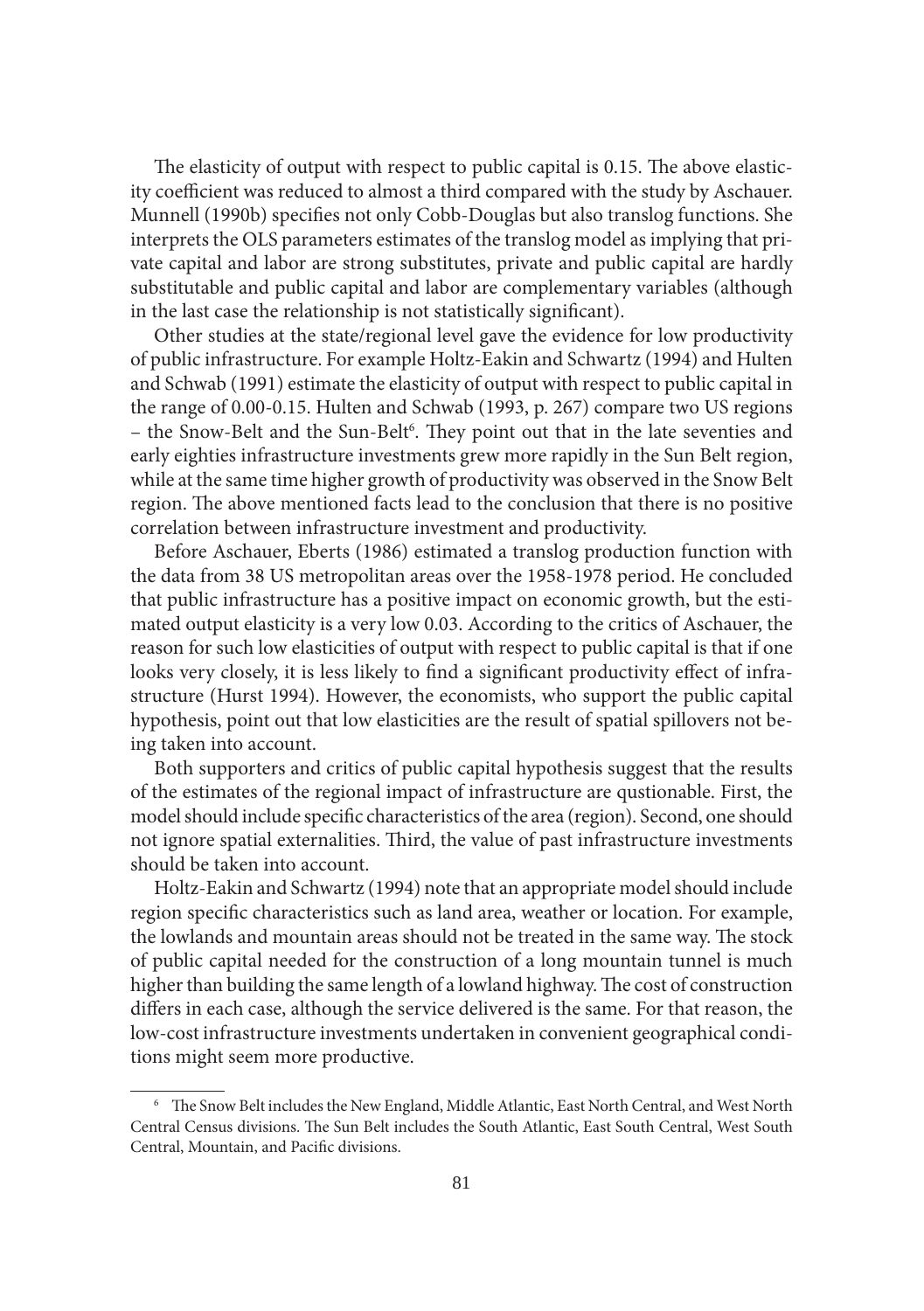The elasticity of output with respect to public capital is 0.15. The above elasticity coefficient was reduced to almost a third compared with the study by Aschauer. Munnell (1990b) specifies not only Cobb-Douglas but also translog functions. She interprets the OLS parameters estimates of the translog model as implying that private capital and labor are strong substitutes, private and public capital are hardly substitutable and public capital and labor are complementary variables (although in the last case the relationship is not statistically significant).

Other studies at the state/regional level gave the evidence for low productivity of public infrastructure. For example Holtz-Eakin and Schwartz (1994) and Hulten and Schwab (1991) estimate the elasticity of output with respect to public capital in the range of 0.00-0.15. Hulten and Schwab (1993, p. 267) compare two US regions – the Snow-Belt and the Sun-Belt<sup>6</sup>. They point out that in the late seventies and early eighties infrastructure investments grew more rapidly in the Sun Belt region, while at the same time higher growth of productivity was observed in the Snow Belt region. The above mentioned facts lead to the conclusion that there is no positive correlation between infrastructure investment and productivity.

Before Aschauer, Eberts (1986) estimated a translog production function with the data from 38 US metropolitan areas over the 1958-1978 period. He concluded that public infrastructure has a positive impact on economic growth, but the estimated output elasticity is a very low 0.03. According to the critics of Aschauer, the reason for such low elasticities of output with respect to public capital is that if one looks very closely, it is less likely to find a significant productivity effect of infrastructure (Hurst 1994). However, the economists, who support the public capital hypothesis, point out that low elasticities are the result of spatial spillovers not being taken into account.

Both supporters and critics of public capital hypothesis suggest that the results of the estimates of the regional impact of infrastructure are qustionable. First, the model should include specific characteristics of the area (region). Second, one should not ignore spatial externalities. Third, the value of past infrastructure investments should be taken into account.

Holtz-Eakin and Schwartz (1994) note that an appropriate model should include region specific characteristics such as land area, weather or location. For example, the lowlands and mountain areas should not be treated in the same way. The stock of public capital needed for the construction of a long mountain tunnel is much higher than building the same length of a lowland highway. The cost of construction differs in each case, although the service delivered is the same. For that reason, the low-cost infrastructure investments undertaken in convenient geographical conditions might seem more productive.

<sup>&</sup>lt;sup>6</sup> The Snow Belt includes the New England, Middle Atlantic, East North Central, and West North Central Census divisions. The Sun Belt includes the South Atlantic, East South Central, West South Central, Mountain, and Pacific divisions.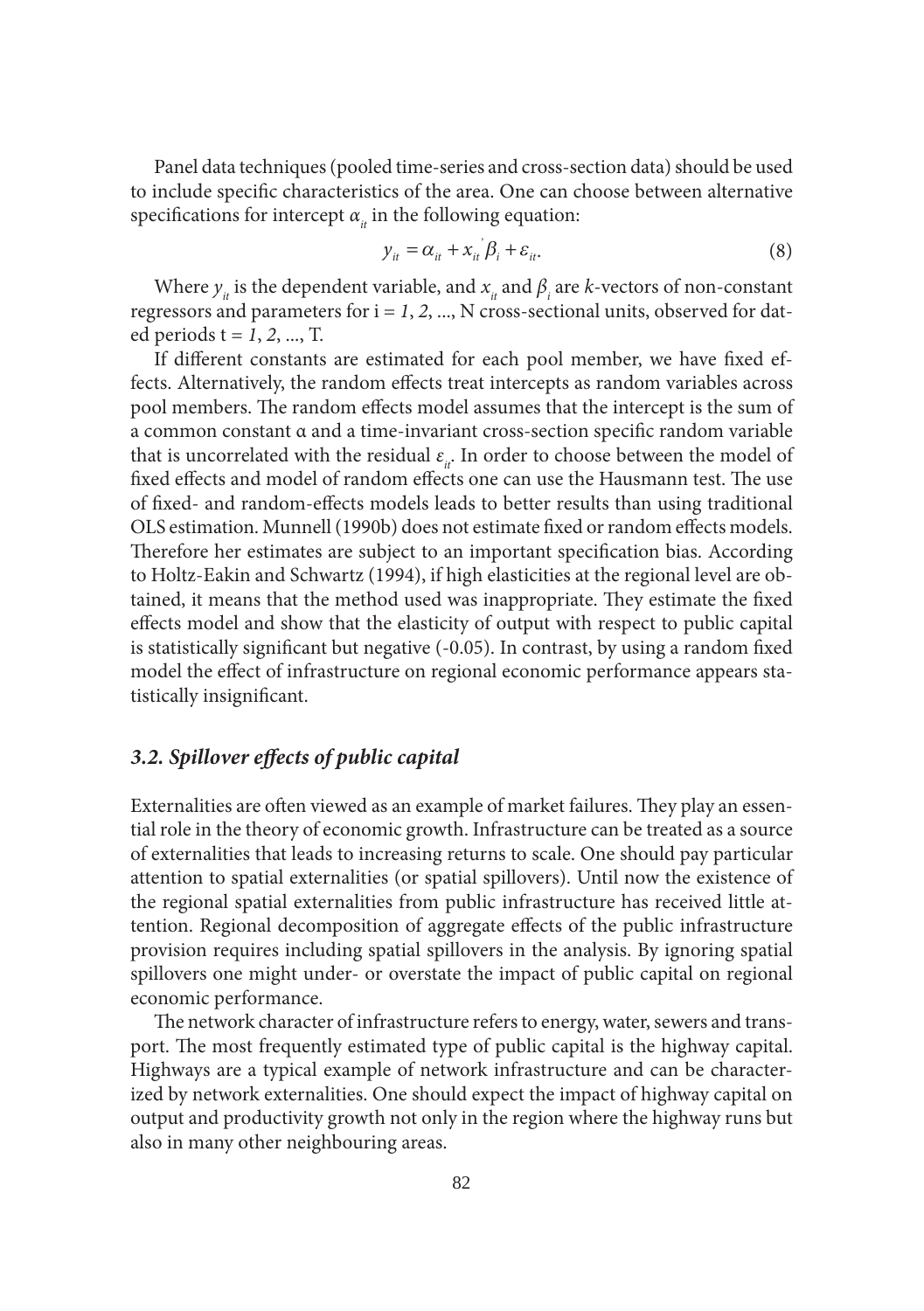Panel data techniques (pooled time-series and cross-section data) should be used to include specific characteristics of the area. One can choose between alternative specifications for intercept  $\alpha_{i}$  in the following equation:

$$
y_{it} = \alpha_{it} + x_{it} \beta_i + \varepsilon_{it}.
$$
 (8)

Where  $y_{it}$  is the dependent variable, and  $x_{it}$  and  $\beta_i$  are *k*-vectors of non-constant regressors and parameters for  $i = 1, 2, ...$ , N cross-sectional units, observed for dated periods t = *1*, *2*, ..., T.

If different constants are estimated for each pool member, we have fixed effects. Alternatively, the random effects treat intercepts as random variables across pool members. The random effects model assumes that the intercept is the sum of a common constant α and a time-invariant cross-section specific random variable that is uncorrelated with the residual  $\varepsilon$ <sub>*i*</sub>. In order to choose between the model of fixed effects and model of random effects one can use the Hausmann test. The use of fixed- and random-effects models leads to better results than using traditional OLS estimation. Munnell (1990b) does not estimate fixed or random effects models. Therefore her estimates are subject to an important specification bias. According to Holtz-Eakin and Schwartz (1994), if high elasticities at the regional level are obtained, it means that the method used was inappropriate. They estimate the fixed effects model and show that the elasticity of output with respect to public capital is statistically significant but negative  $(-0.05)$ . In contrast, by using a random fixed model the effect of infrastructure on regional economic performance appears statistically insignificant.

## *3.2. Spillover eff ects of public capital*

Externalities are often viewed as an example of market failures. They play an essential role in the theory of economic growth. Infrastructure can be treated as a source of externalities that leads to increasing returns to scale. One should pay particular attention to spatial externalities (or spatial spillovers). Until now the existence of the regional spatial externalities from public infrastructure has received little attention. Regional decomposition of aggregate effects of the public infrastructure provision requires including spatial spillovers in the analysis. By ignoring spatial spillovers one might under- or overstate the impact of public capital on regional economic performance.

The network character of infrastructure refers to energy, water, sewers and transport. The most frequently estimated type of public capital is the highway capital. Highways are a typical example of network infrastructure and can be characterized by network externalities. One should expect the impact of highway capital on output and productivity growth not only in the region where the highway runs but also in many other neighbouring areas.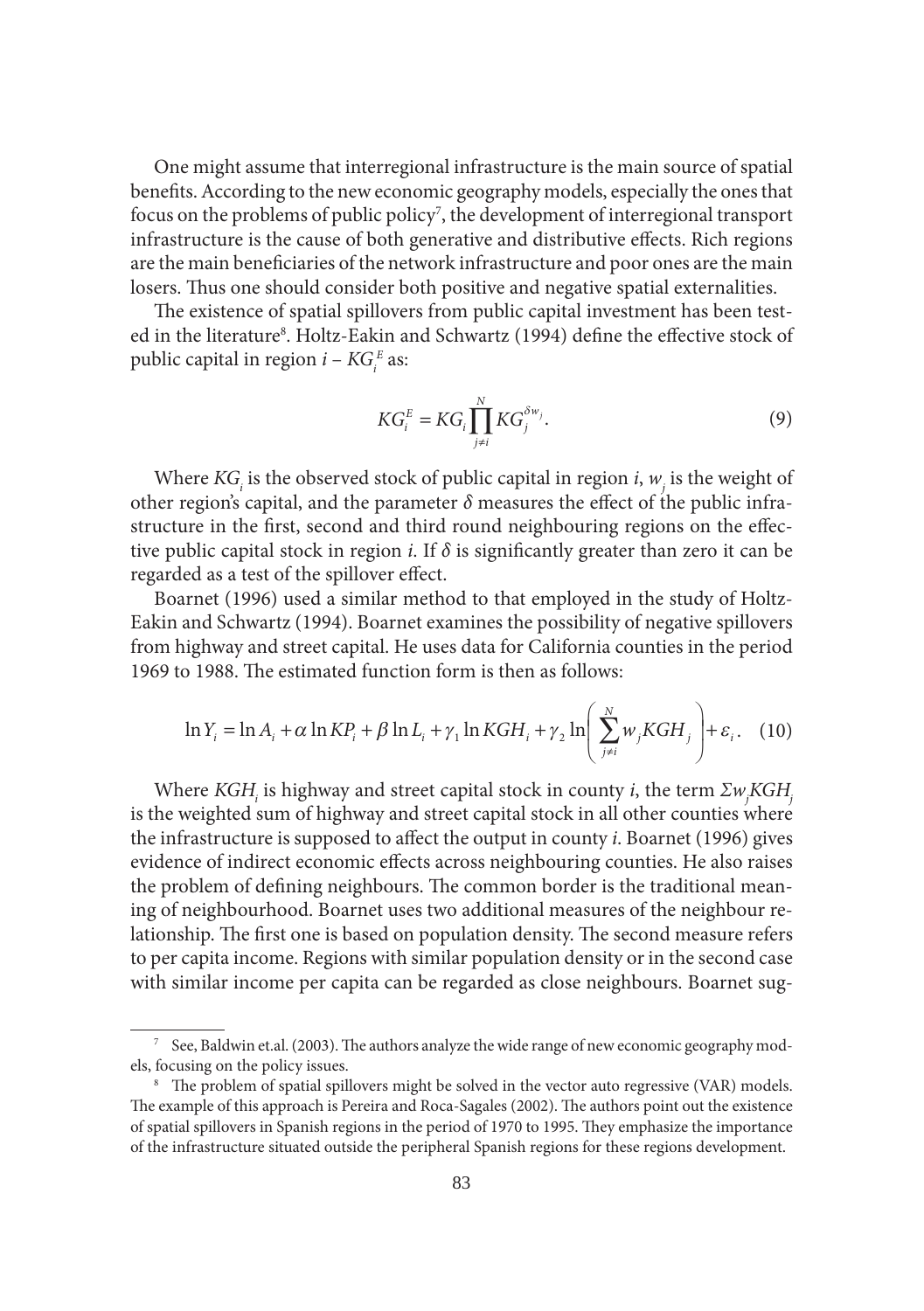One might assume that interregional infrastructure is the main source of spatial benefits. According to the new economic geography models, especially the ones that focus on the problems of public policy<sup>7</sup>, the development of interregional transport infrastructure is the cause of both generative and distributive effects. Rich regions are the main beneficiaries of the network infrastructure and poor ones are the main losers. Thus one should consider both positive and negative spatial externalities.

The existence of spatial spillovers from public capital investment has been tested in the literature<sup>8</sup>. Holtz-Eakin and Schwartz (1994) define the effective stock of public capital in region  $i$  –  $KG_i^E$  as:

$$
KG_i^E = KG_i \prod_{j \neq i}^N KG_j^{\delta w_j}.
$$
 (9)

Where  $KG_i$  is the observed stock of public capital in region *i*,  $w_j$  is the weight of other region's capital, and the parameter  $\delta$  measures the effect of the public infrastructure in the first, second and third round neighbouring regions on the effective public capital stock in region *i*. If  $\delta$  is significantly greater than zero it can be regarded as a test of the spillover effect.

Boarnet (1996) used a similar method to that employed in the study of Holtz-Eakin and Schwartz (1994). Boarnet examines the possibility of negative spillovers from highway and street capital. He uses data for California counties in the period 1969 to 1988. The estimated function form is then as follows:

$$
\ln Y_i = \ln A_i + \alpha \ln KP_i + \beta \ln L_i + \gamma_1 \ln KGH_i + \gamma_2 \ln \left( \sum_{j \neq i}^{N} w_j KGH_j \right) + \varepsilon_i. \quad (10)
$$

Where *KGH<sub>i</sub>* is highway and street capital stock in county *i*, the term Σw<sub>j</sub>KGH<sub>j</sub> is the weighted sum of highway and street capital stock in all other counties where the infrastructure is supposed to affect the output in county *i*. Boarnet (1996) gives evidence of indirect economic effects across neighbouring counties. He also raises the problem of defining neighbours. The common border is the traditional meaning of neighbourhood. Boarnet uses two additional measures of the neighbour relationship. The first one is based on population density. The second measure refers to per capita income. Regions with similar population density or in the second case with similar income per capita can be regarded as close neighbours. Boarnet sug-

 $7$  See, Baldwin et.al. (2003). The authors analyze the wide range of new economic geography models, focusing on the policy issues.

<sup>&</sup>lt;sup>8</sup> The problem of spatial spillovers might be solved in the vector auto regressive (VAR) models. The example of this approach is Pereira and Roca-Sagales (2002). The authors point out the existence of spatial spillovers in Spanish regions in the period of 1970 to 1995. They emphasize the importance of the infrastructure situated outside the peripheral Spanish regions for these regions development.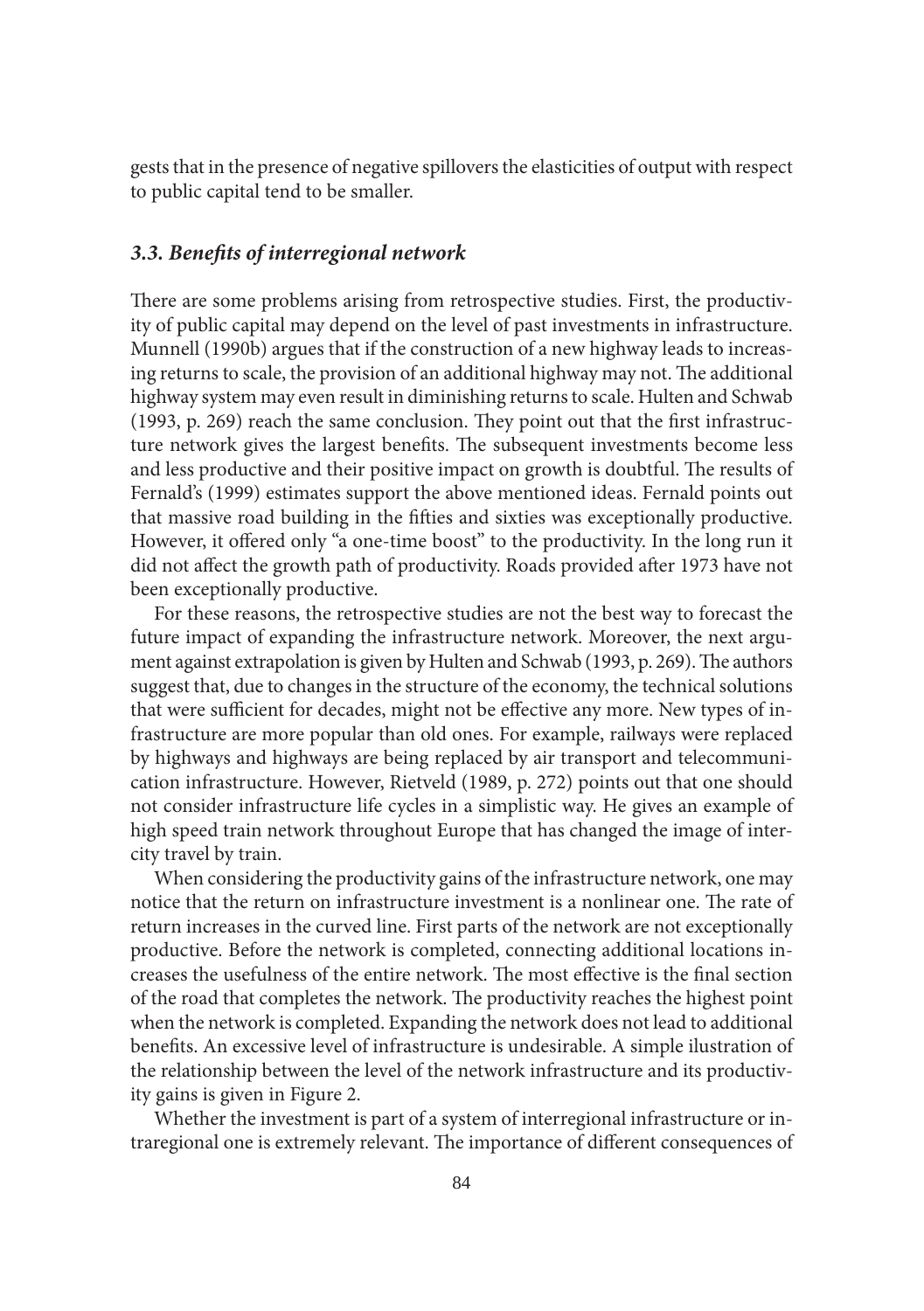gests that in the presence of negative spillovers the elasticities of output with respect to public capital tend to be smaller.

#### *3.3. Benefi ts of interregional network*

There are some problems arising from retrospective studies. First, the productivity of public capital may depend on the level of past investments in infrastructure. Munnell (1990b) argues that if the construction of a new highway leads to increasing returns to scale, the provision of an additional highway may not. The additional highway system may even result in diminishing returns to scale. Hulten and Schwab  $(1993, p. 269)$  reach the same conclusion. They point out that the first infrastructure network gives the largest benefits. The subsequent investments become less and less productive and their positive impact on growth is doubtful. The results of Fernald's (1999) estimates support the above mentioned ideas. Fernald points out that massive road building in the fifties and sixties was exceptionally productive. However, it offered only "a one-time boost" to the productivity. In the long run it did not affect the growth path of productivity. Roads provided after 1973 have not been exceptionally productive.

For these reasons, the retrospective studies are not the best way to forecast the future impact of expanding the infrastructure network. Moreover, the next argument against extrapolation is given by Hulten and Schwab (1993, p. 269). The authors suggest that, due to changes in the structure of the economy, the technical solutions that were sufficient for decades, might not be effective any more. New types of infrastructure are more popular than old ones. For example, railways were replaced by highways and highways are being replaced by air transport and telecommunication infrastructure. However, Rietveld (1989, p. 272) points out that one should not consider infrastructure life cycles in a simplistic way. He gives an example of high speed train network throughout Europe that has changed the image of intercity travel by train.

When considering the productivity gains of the infrastructure network, one may notice that the return on infrastructure investment is a nonlinear one. The rate of return increases in the curved line. First parts of the network are not exceptionally productive. Before the network is completed, connecting additional locations increases the usefulness of the entire network. The most effective is the final section of the road that completes the network. The productivity reaches the highest point when the network is completed. Expanding the network does not lead to additional benefits. An excessive level of infrastructure is undesirable. A simple ilustration of the relationship between the level of the network infrastructure and its productivity gains is given in Figure 2.

Whether the investment is part of a system of interregional infrastructure or intraregional one is extremely relevant. The importance of different consequences of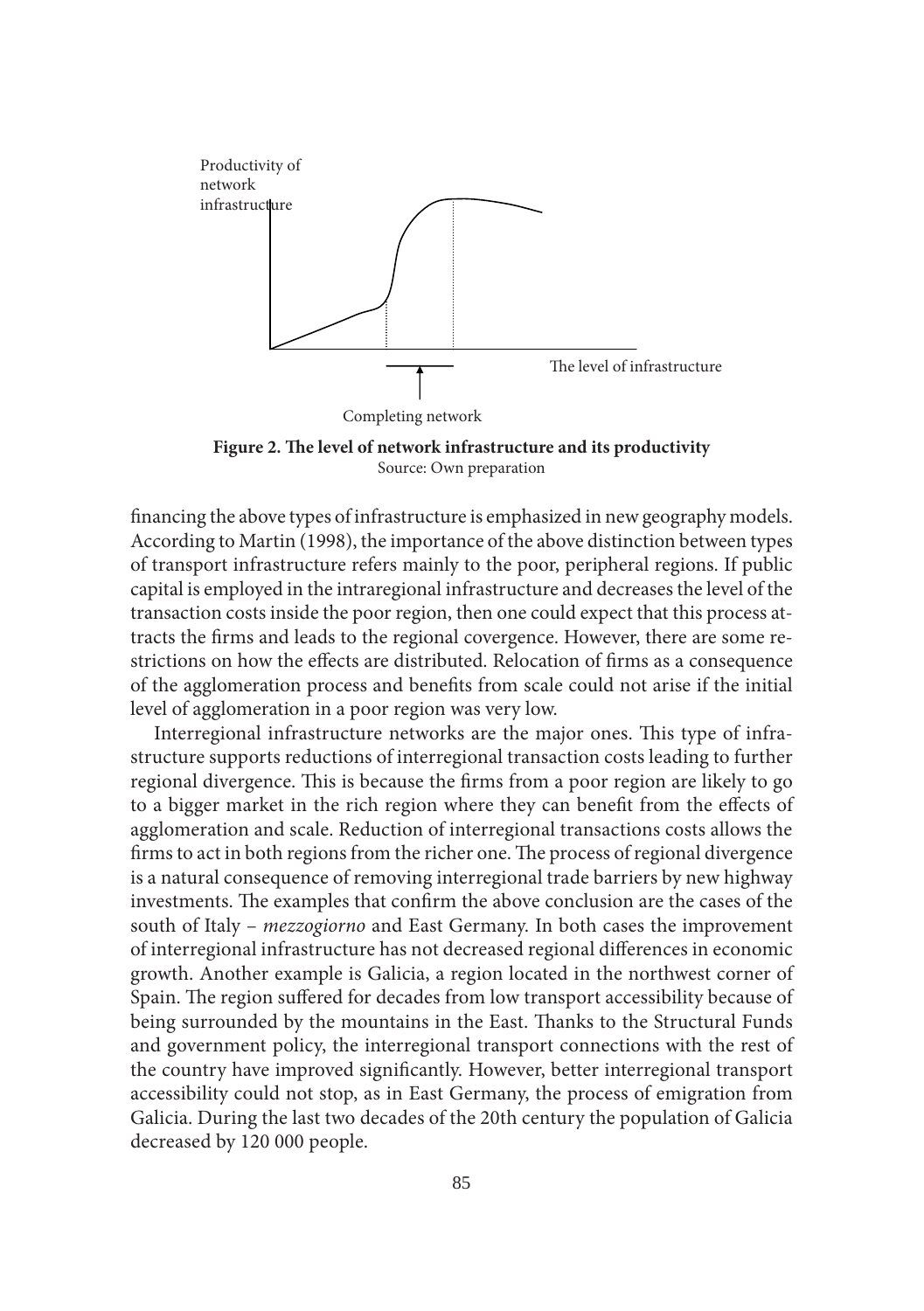

Figure 2. The level of network infrastructure and its productivity Source: Own preparation

financing the above types of infrastructure is emphasized in new geography models. According to Martin (1998), the importance of the above distinction between types of transport infrastructure refers mainly to the poor, peripheral regions. If public capital is employed in the intraregional infrastructure and decreases the level of the transaction costs inside the poor region, then one could expect that this process attracts the firms and leads to the regional covergence. However, there are some restrictions on how the effects are distributed. Relocation of firms as a consequence of the agglomeration process and benefits from scale could not arise if the initial level of agglomeration in a poor region was very low.

Interregional infrastructure networks are the major ones. This type of infrastructure supports reductions of interregional transaction costs leading to further regional divergence. This is because the firms from a poor region are likely to go to a bigger market in the rich region where they can benefit from the effects of agglomeration and scale. Reduction of interregional transactions costs allows the firms to act in both regions from the richer one. The process of regional divergence is a natural consequence of removing interregional trade barriers by new highway investments. The examples that confirm the above conclusion are the cases of the south of Italy – *mezzogiorno* and East Germany. In both cases the improvement of interregional infrastructure has not decreased regional differences in economic growth. Another example is Galicia, a region located in the northwest corner of Spain. The region suffered for decades from low transport accessibility because of being surrounded by the mountains in the East. Thanks to the Structural Funds and government policy, the interregional transport connections with the rest of the country have improved significantly. However, better interregional transport accessibility could not stop, as in East Germany, the process of emigration from Galicia. During the last two decades of the 20th century the population of Galicia decreased by 120 000 people.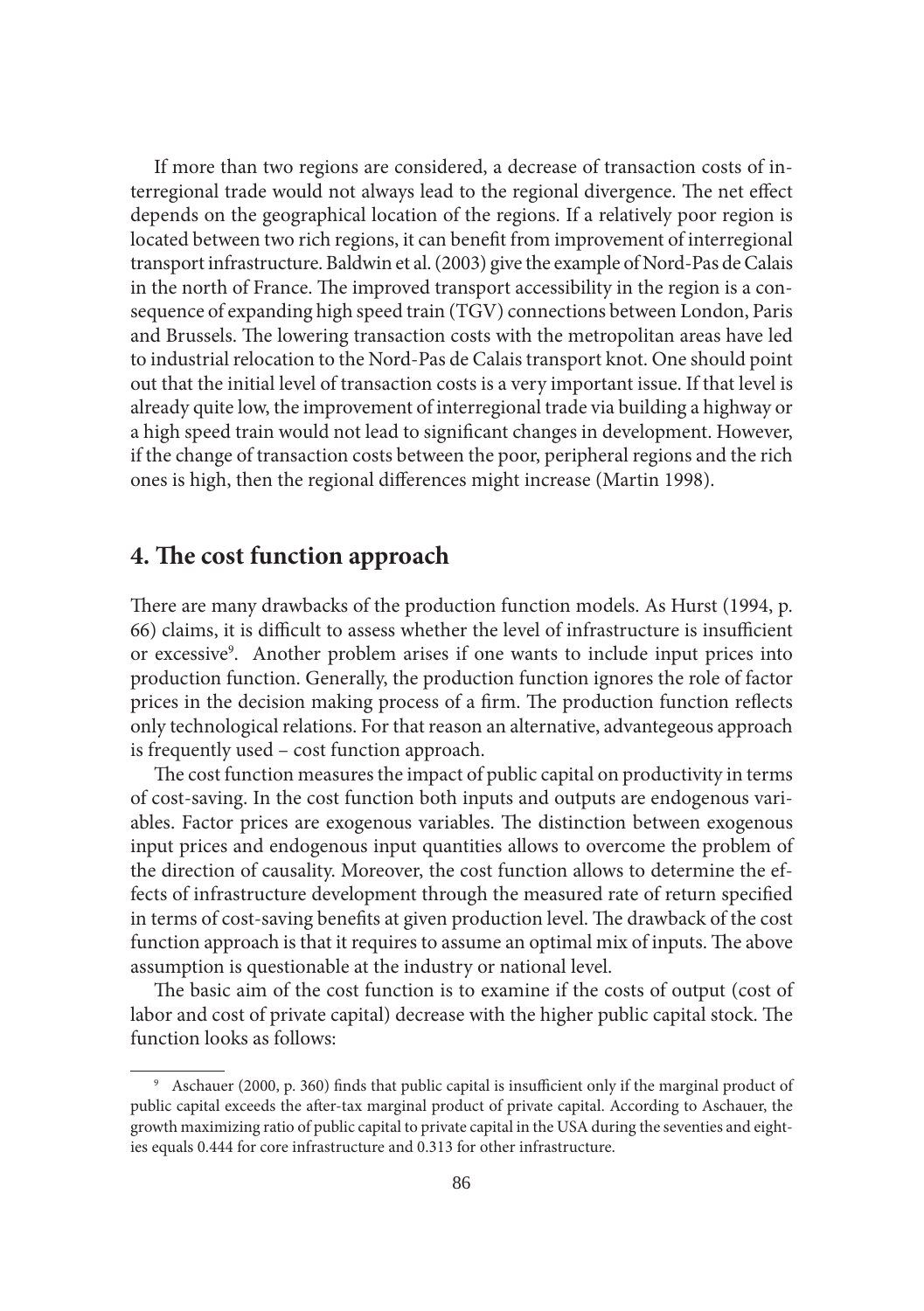If more than two regions are considered, a decrease of transaction costs of interregional trade would not always lead to the regional divergence. The net effect depends on the geographical location of the regions. If a relatively poor region is located between two rich regions, it can benefit from improvement of interregional transport infrastructure. Baldwin et al. (2003) give the example of Nord-Pas de Calais in the north of France. The improved transport accessibility in the region is a consequence of expanding high speed train (TGV) connections between London, Paris and Brussels. The lowering transaction costs with the metropolitan areas have led to industrial relocation to the Nord-Pas de Calais transport knot. One should point out that the initial level of transaction costs is a very important issue. If that level is already quite low, the improvement of interregional trade via building a highway or a high speed train would not lead to significant changes in development. However, if the change of transaction costs between the poor, peripheral regions and the rich ones is high, then the regional differences might increase (Martin 1998).

# **4. The cost function approach**

There are many drawbacks of the production function models. As Hurst (1994, p. 66) claims, it is difficult to assess whether the level of infrastructure is insufficient or excessive<sup>9</sup>. Another problem arises if one wants to include input prices into production function. Generally, the production function ignores the role of factor prices in the decision making process of a firm. The production function reflects only technological relations. For that reason an alternative, advantegeous approach is frequently used – cost function approach.

The cost function measures the impact of public capital on productivity in terms of cost-saving. In the cost function both inputs and outputs are endogenous variables. Factor prices are exogenous variables. The distinction between exogenous input prices and endogenous input quantities allows to overcome the problem of the direction of causality. Moreover, the cost function allows to determine the effects of infrastructure development through the measured rate of return specified in terms of cost-saving benefits at given production level. The drawback of the cost function approach is that it requires to assume an optimal mix of inputs. The above assumption is questionable at the industry or national level.

The basic aim of the cost function is to examine if the costs of output (cost of labor and cost of private capital) decrease with the higher public capital stock. The function looks as follows:

<sup>&</sup>lt;sup>9</sup> Aschauer (2000, p. 360) finds that public capital is insufficient only if the marginal product of public capital exceeds the after-tax marginal product of private capital. According to Aschauer, the growth maximizing ratio of public capital to private capital in the USA during the seventies and eighties equals 0.444 for core infrastructure and 0.313 for other infrastructure.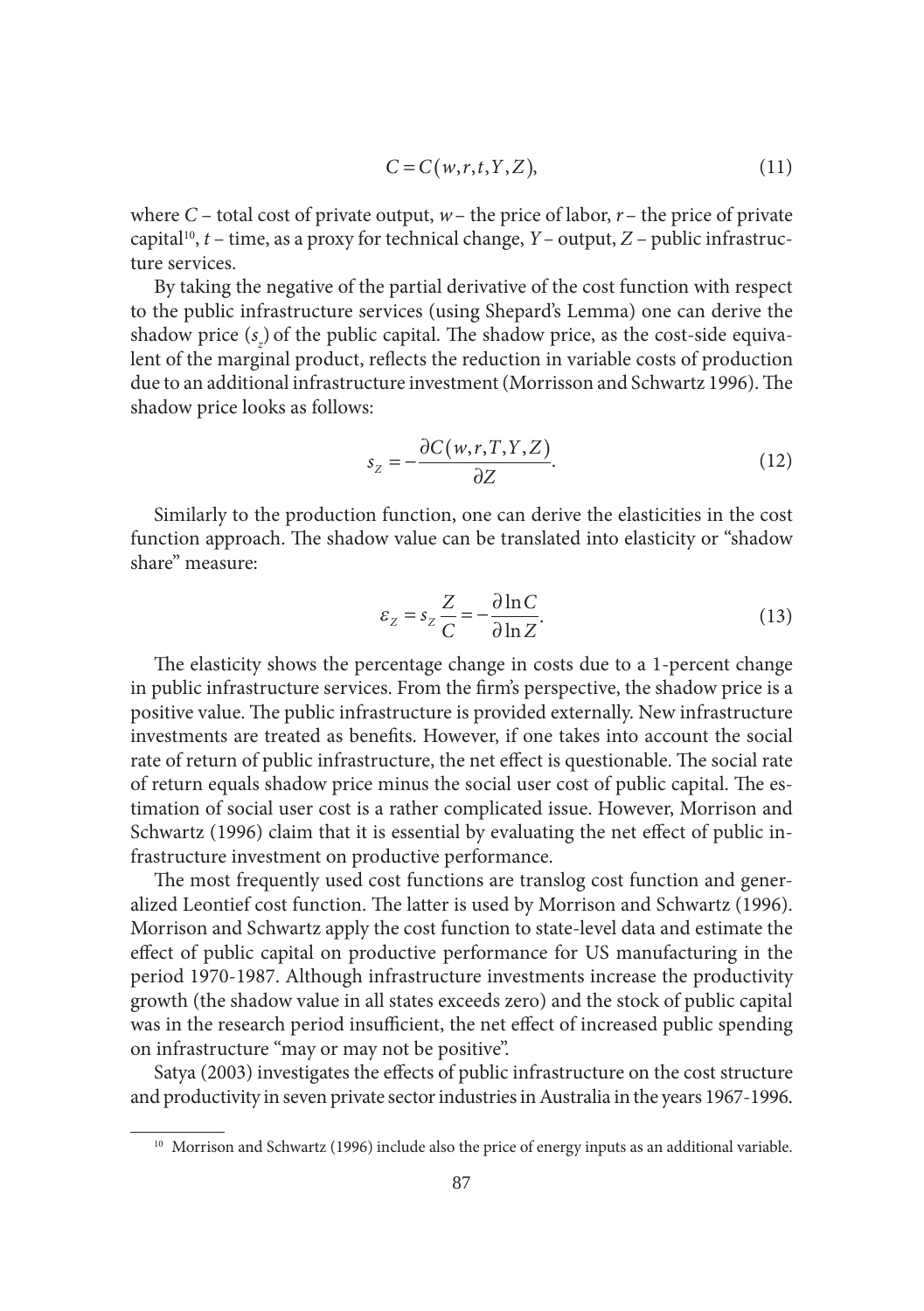$$
C = C(w, r, t, Y, Z), \tag{11}
$$

where  $C$  – total cost of private output,  $w$  – the price of labor,  $r$  – the price of private capital<sup>10</sup>,  $t$  – time, as a proxy for technical change,  $Y$  – output,  $Z$  – public infrastructure services.

By taking the negative of the partial derivative of the cost function with respect to the public infrastructure services (using Shepard's Lemma) one can derive the shadow price  $(s_z)$  of the public capital. The shadow price, as the cost-side equivalent of the marginal product, reflects the reduction in variable costs of production due to an additional infrastructure investment (Morrisson and Schwartz 1996). The shadow price looks as follows:

$$
s_Z = -\frac{\partial C(w, r, T, Y, Z)}{\partial Z}.
$$
\n(12)

Similarly to the production function, one can derive the elasticities in the cost function approach. The shadow value can be translated into elasticity or "shadow share" measure:

$$
\varepsilon_z = s_z \frac{Z}{C} = -\frac{\partial \ln C}{\partial \ln Z}.
$$
 (13)

The elasticity shows the percentage change in costs due to a 1-percent change in public infrastructure services. From the firm's perspective, the shadow price is a positive value. The public infrastructure is provided externally. New infrastructure investments are treated as benefits. However, if one takes into account the social rate of return of public infrastructure, the net effect is questionable. The social rate of return equals shadow price minus the social user cost of public capital. The estimation of social user cost is a rather complicated issue. However, Morrison and Schwartz (1996) claim that it is essential by evaluating the net effect of public infrastructure investment on productive performance.

The most frequently used cost functions are translog cost function and generalized Leontief cost function. The latter is used by Morrison and Schwartz (1996). Morrison and Schwartz apply the cost function to state-level data and estimate the effect of public capital on productive performance for US manufacturing in the period 1970-1987. Although infrastructure investments increase the productivity growth (the shadow value in all states exceeds zero) and the stock of public capital was in the research period insufficient, the net effect of increased public spending on infrastructure "may or may not be positive".

Satya (2003) investigates the effects of public infrastructure on the cost structure and productivity in seven private sector industries in Australia in the years 1967-1996.

<sup>&</sup>lt;sup>10</sup> Morrison and Schwartz (1996) include also the price of energy inputs as an additional variable.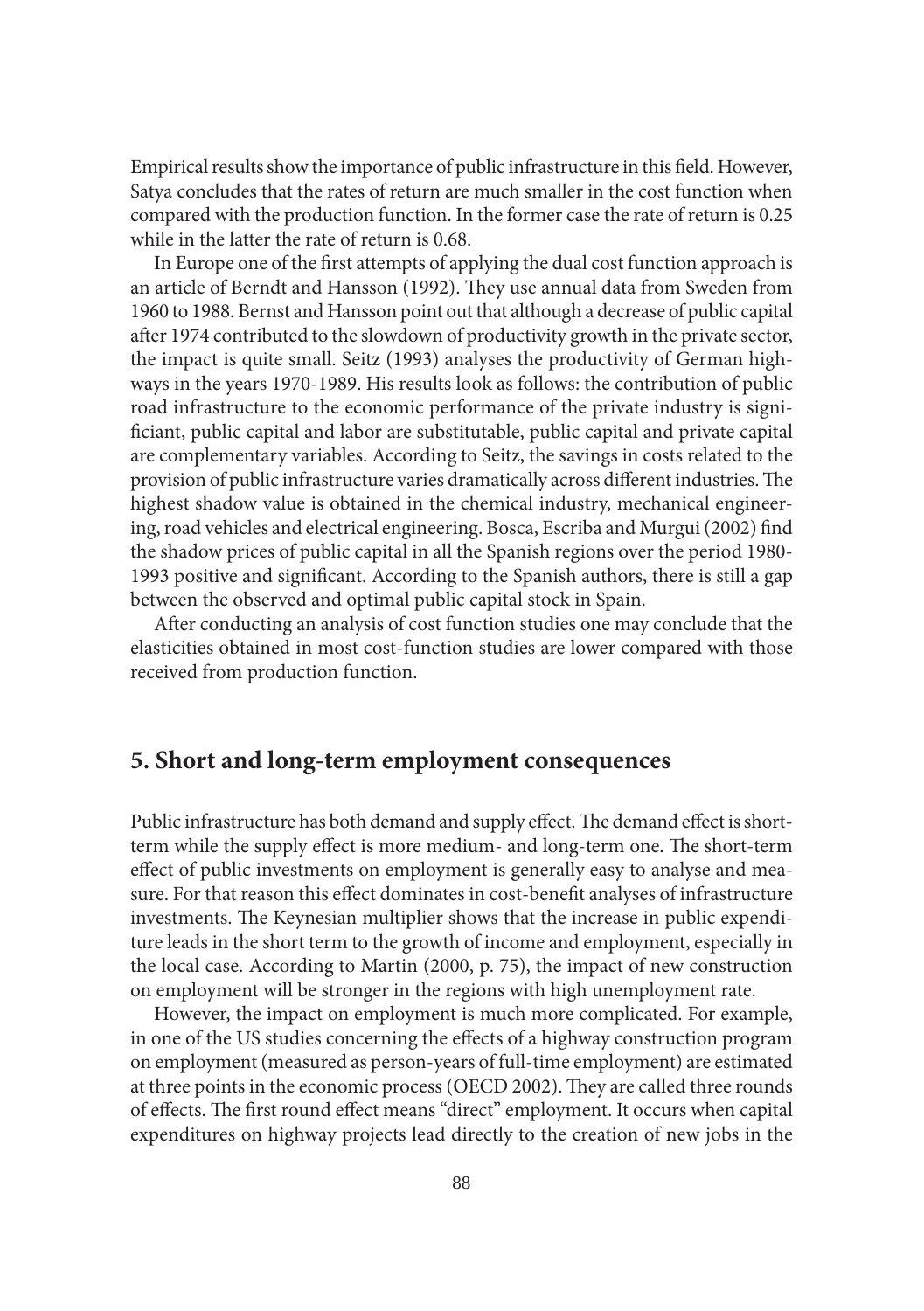Empirical results show the importance of public infrastructure in this field. However, Satya concludes that the rates of return are much smaller in the cost function when compared with the production function. In the former case the rate of return is 0.25 while in the latter the rate of return is 0.68.

In Europe one of the first attempts of applying the dual cost function approach is an article of Berndt and Hansson (1992). They use annual data from Sweden from 1960 to 1988. Bernst and Hansson point out that although a decrease of public capital after 1974 contributed to the slowdown of productivity growth in the private sector, the impact is quite small. Seitz (1993) analyses the productivity of German highways in the years 1970-1989. His results look as follows: the contribution of public road infrastructure to the economic performance of the private industry is significiant, public capital and labor are substitutable, public capital and private capital are complementary variables. According to Seitz, the savings in costs related to the provision of public infrastructure varies dramatically across different industries. The highest shadow value is obtained in the chemical industry, mechanical engineering, road vehicles and electrical engineering. Bosca, Escriba and Murgui (2002) find the shadow prices of public capital in all the Spanish regions over the period 1980- 1993 positive and significant. According to the Spanish authors, there is still a gap between the observed and optimal public capital stock in Spain.

After conducting an analysis of cost function studies one may conclude that the elasticities obtained in most cost-function studies are lower compared with those received from production function.

## **5. Short and long-term employment consequences**

Public infrastructure has both demand and supply effect. The demand effect is shortterm while the supply effect is more medium- and long-term one. The short-term effect of public investments on employment is generally easy to analyse and measure. For that reason this effect dominates in cost-benefit analyses of infrastructure investments. The Keynesian multiplier shows that the increase in public expenditure leads in the short term to the growth of income and employment, especially in the local case. According to Martin (2000, p. 75), the impact of new construction on employment will be stronger in the regions with high unemployment rate.

However, the impact on employment is much more complicated. For example, in one of the US studies concerning the effects of a highway construction program on employment (measured as person-years of full-time employment) are estimated at three points in the economic process (OECD 2002). They are called three rounds of effects. The first round effect means "direct" employment. It occurs when capital expenditures on highway projects lead directly to the creation of new jobs in the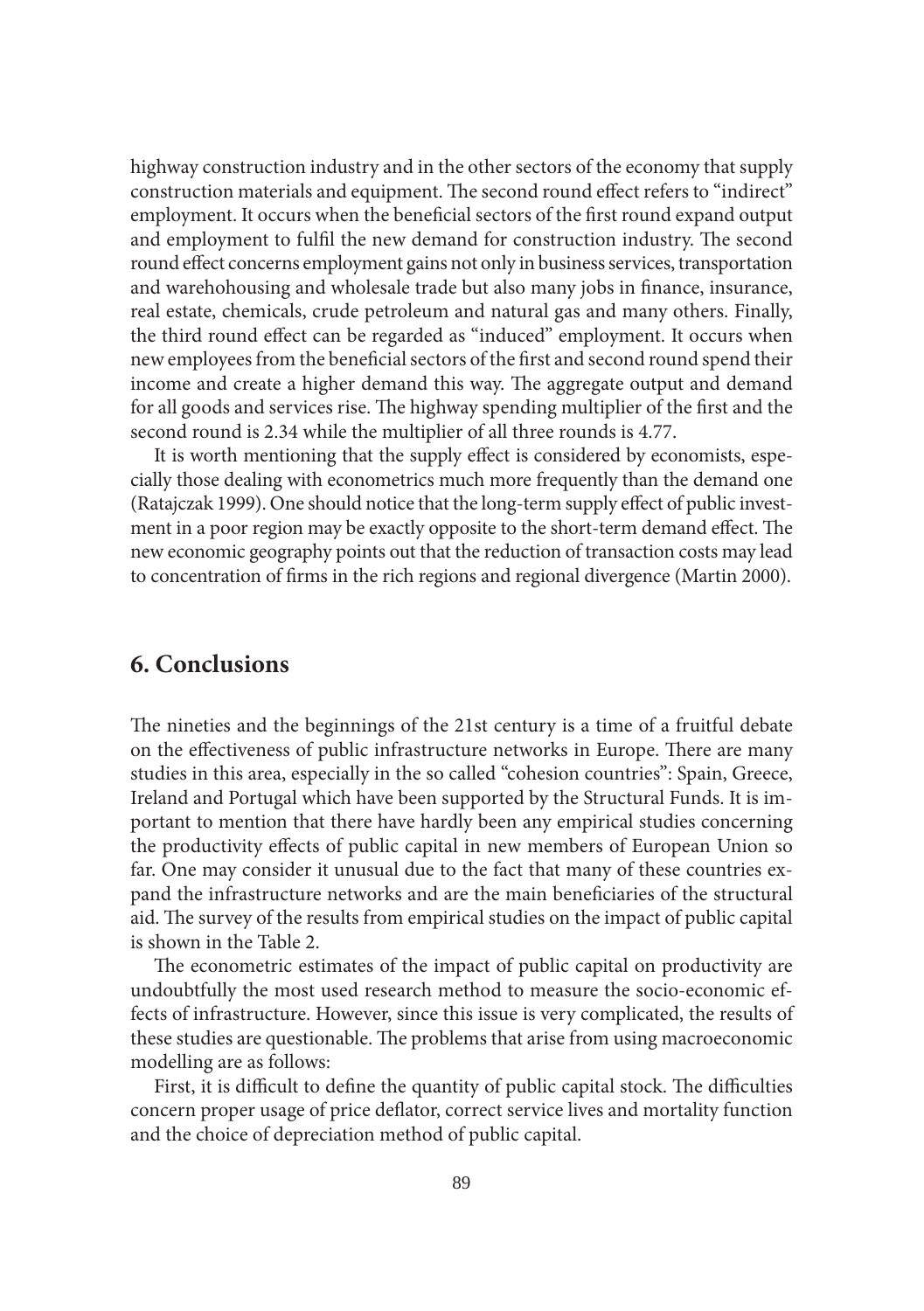highway construction industry and in the other sectors of the economy that supply construction materials and equipment. The second round effect refers to "indirect" employment. It occurs when the beneficial sectors of the first round expand output and employment to fulfil the new demand for construction industry. The second round effect concerns employment gains not only in business services, transportation and warehohousing and wholesale trade but also many jobs in finance, insurance, real estate, chemicals, crude petroleum and natural gas and many others. Finally, the third round effect can be regarded as "induced" employment. It occurs when new employees from the beneficial sectors of the first and second round spend their income and create a higher demand this way. The aggregate output and demand for all goods and services rise. The highway spending multiplier of the first and the second round is 2.34 while the multiplier of all three rounds is 4.77.

It is worth mentioning that the supply effect is considered by economists, especially those dealing with econometrics much more frequently than the demand one (Ratajczak 1999). One should notice that the long-term supply effect of public investment in a poor region may be exactly opposite to the short-term demand effect. The new economic geography points out that the reduction of transaction costs may lead to concentration of firms in the rich regions and regional divergence (Martin 2000).

# **6. Conclusions**

The nineties and the beginnings of the 21st century is a time of a fruitful debate on the effectiveness of public infrastructure networks in Europe. There are many studies in this area, especially in the so called "cohesion countries": Spain, Greece, Ireland and Portugal which have been supported by the Structural Funds. It is important to mention that there have hardly been any empirical studies concerning the productivity effects of public capital in new members of European Union so far. One may consider it unusual due to the fact that many of these countries expand the infrastructure networks and are the main beneficiaries of the structural aid. The survey of the results from empirical studies on the impact of public capital is shown in the Table 2.

The econometric estimates of the impact of public capital on productivity are undoubtfully the most used research method to measure the socio-economic effects of infrastructure. However, since this issue is very complicated, the results of these studies are questionable. The problems that arise from using macroeconomic modelling are as follows:

First, it is difficult to define the quantity of public capital stock. The difficulties concern proper usage of price deflator, correct service lives and mortality function and the choice of depreciation method of public capital.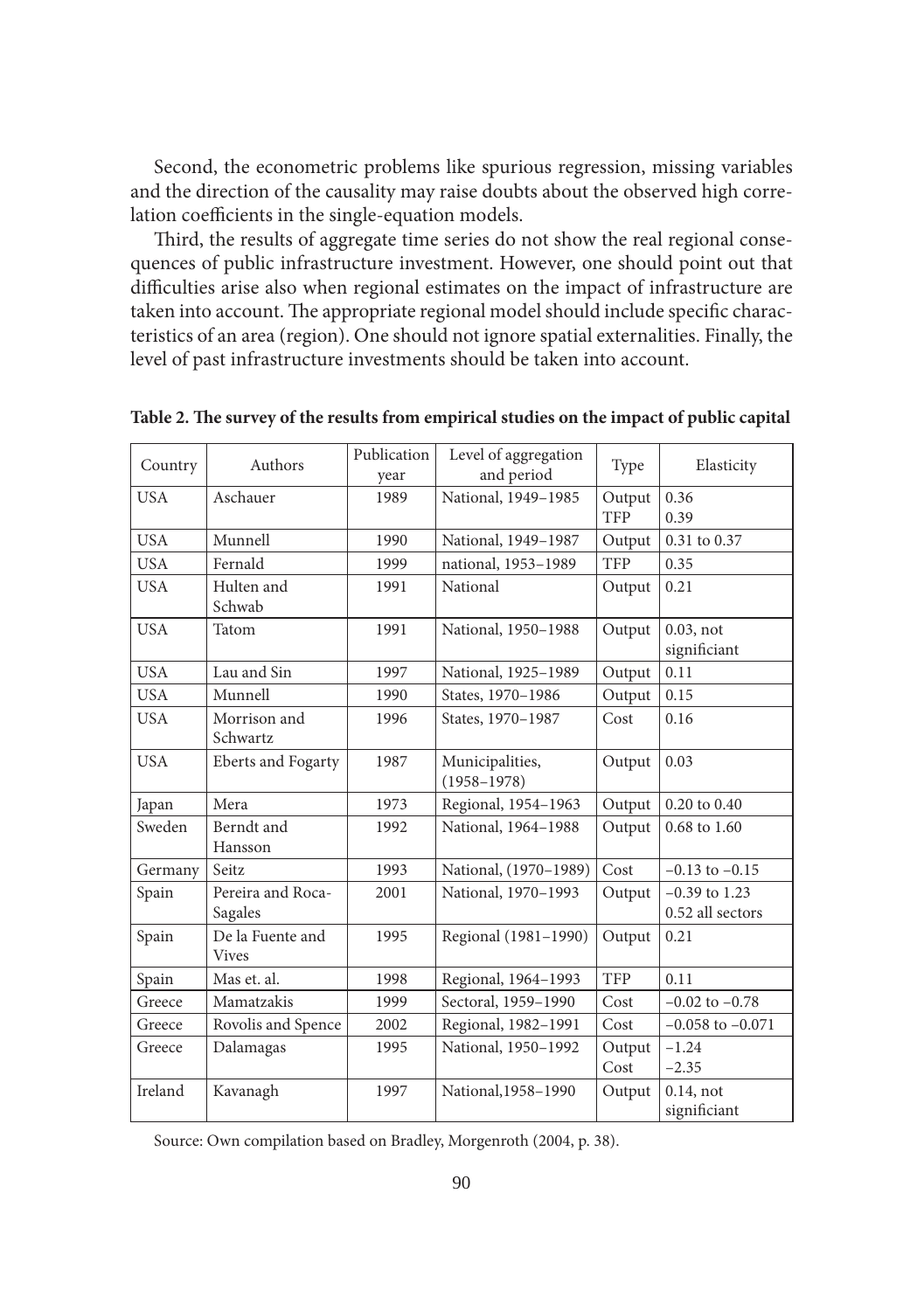Second, the econometric problems like spurious regression, missing variables and the direction of the causality may raise doubts about the observed high correlation coefficients in the single-equation models.

Third, the results of aggregate time series do not show the real regional consequences of public infrastructure investment. However, one should point out that difficulties arise also when regional estimates on the impact of infrastructure are taken into account. The appropriate regional model should include specific characteristics of an area (region). One should not ignore spatial externalities. Finally, the level of past infrastructure investments should be taken into account.

| Country    | Authors                          | Publication<br>year | Level of aggregation<br>and period | Type                 | Elasticity                          |
|------------|----------------------------------|---------------------|------------------------------------|----------------------|-------------------------------------|
| <b>USA</b> | Aschauer                         | 1989                | National, 1949-1985                | Output<br><b>TFP</b> | 0.36<br>0.39                        |
| <b>USA</b> | Munnell                          | 1990                | National, 1949-1987                | Output               | 0.31 to 0.37                        |
| <b>USA</b> | Fernald                          | 1999                | national, 1953-1989                | <b>TFP</b>           | 0.35                                |
| <b>USA</b> | Hulten and<br>Schwab             | 1991                | National                           | Output               | 0.21                                |
| <b>USA</b> | Tatom                            | 1991                | National, 1950-1988                | Output               | $0.03$ , not<br>significiant        |
| <b>USA</b> | Lau and Sin                      | 1997                | National, 1925-1989                | Output               | 0.11                                |
| <b>USA</b> | Munnell                          | 1990                | States, 1970-1986                  | Output               | 0.15                                |
| <b>USA</b> | Morrison and<br>Schwartz         | 1996                | States, 1970-1987                  | Cost                 | 0.16                                |
| <b>USA</b> | <b>Eberts</b> and Fogarty        | 1987                | Municipalities,<br>$(1958 - 1978)$ | Output               | 0.03                                |
| Japan      | Mera                             | 1973                | Regional, 1954-1963                | Output               | 0.20 to 0.40                        |
| Sweden     | Berndt and<br>Hansson            | 1992                | National, 1964-1988                | Output               | 0.68 to 1.60                        |
| Germany    | Seitz                            | 1993                | National, (1970-1989)              | Cost                 | $-0.13$ to $-0.15$                  |
| Spain      | Pereira and Roca-<br>Sagales     | 2001                | National, 1970-1993                | Output               | $-0.39$ to 1.23<br>0.52 all sectors |
| Spain      | De la Fuente and<br><b>Vives</b> | 1995                | Regional (1981-1990)               | Output               | 0.21                                |
| Spain      | Mas et. al.                      | 1998                | Regional, 1964-1993                | <b>TFP</b>           | 0.11                                |
| Greece     | Mamatzakis                       | 1999                | Sectoral, 1959-1990                | Cost                 | $-0.02$ to $-0.78$                  |
| Greece     | Rovolis and Spence               | 2002                | Regional, 1982-1991                | Cost                 | $-0.058$ to $-0.071$                |
| Greece     | Dalamagas                        | 1995                | National, 1950-1992                | Output<br>Cost       | $-1.24$<br>$-2.35$                  |
| Ireland    | Kavanagh                         | 1997                | National, 1958-1990                | Output               | $0.14$ , not<br>significiant        |

Table 2. The survey of the results from empirical studies on the impact of public capital

Source: Own compilation based on Bradley, Morgenroth (2004, p. 38).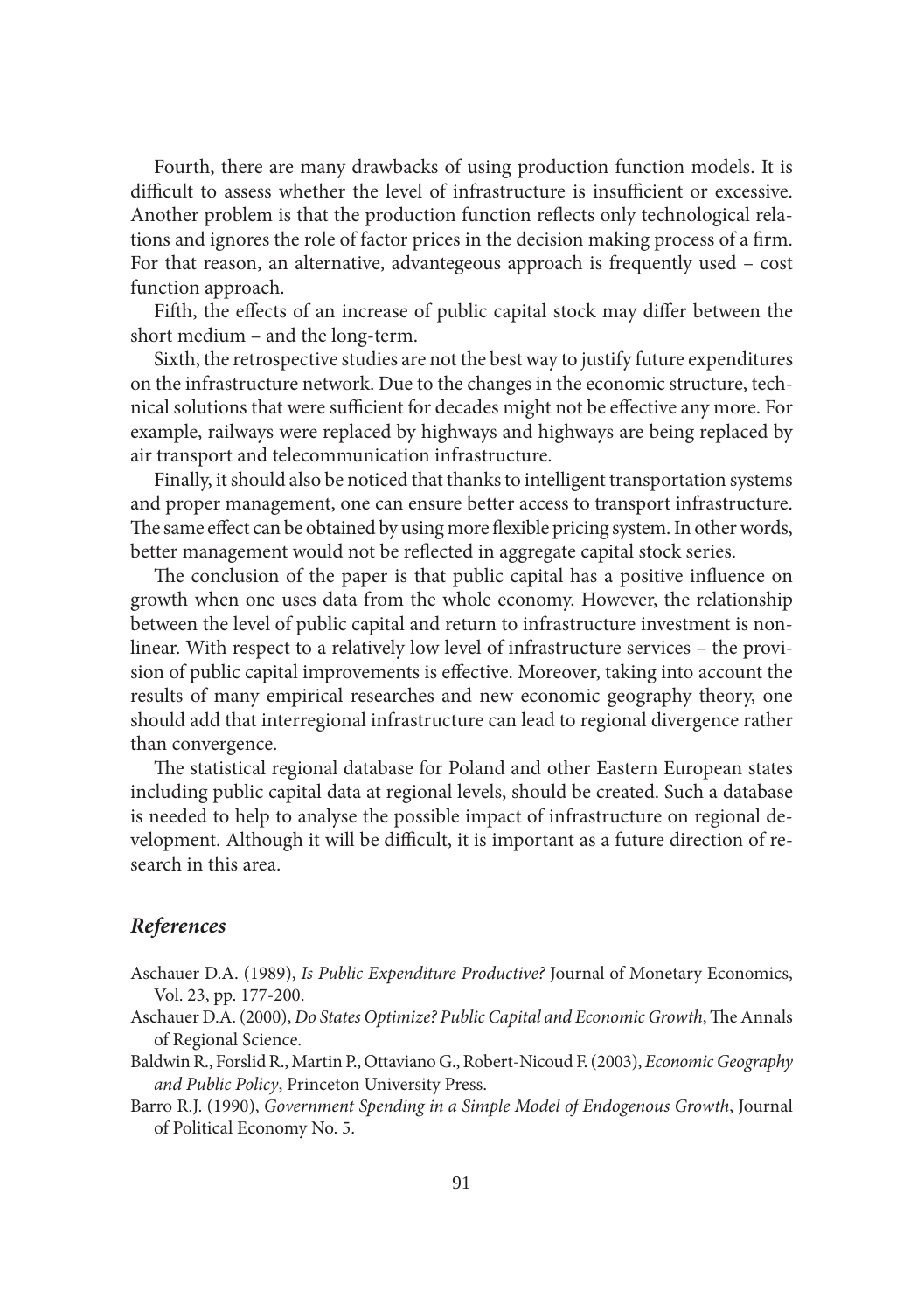Fourth, there are many drawbacks of using production function models. It is difficult to assess whether the level of infrastructure is insufficient or excessive. Another problem is that the production function reflects only technological relations and ignores the role of factor prices in the decision making process of a firm. For that reason, an alternative, advantegeous approach is frequently used – cost function approach.

Fifth, the effects of an increase of public capital stock may differ between the short medium – and the long-term.

Sixth, the retrospective studies are not the best way to justify future expenditures on the infrastructure network. Due to the changes in the economic structure, technical solutions that were sufficient for decades might not be effective any more. For example, railways were replaced by highways and highways are being replaced by air transport and telecommunication infrastructure.

Finally, it should also be noticed that thanks to intelligent transportation systems and proper management, one can ensure better access to transport infrastructure. The same effect can be obtained by using more flexible pricing system. In other words, better management would not be reflected in aggregate capital stock series.

The conclusion of the paper is that public capital has a positive influence on growth when one uses data from the whole economy. However, the relationship between the level of public capital and return to infrastructure investment is nonlinear. With respect to a relatively low level of infrastructure services – the provision of public capital improvements is effective. Moreover, taking into account the results of many empirical researches and new economic geography theory, one should add that interregional infrastructure can lead to regional divergence rather than convergence.

The statistical regional database for Poland and other Eastern European states including public capital data at regional levels, should be created. Such a database is needed to help to analyse the possible impact of infrastructure on regional development. Although it will be difficult, it is important as a future direction of research in this area.

## *References*

- Aschauer D.A. (1989), *Is Public Expenditure Productive?* Journal of Monetary Economics, Vol. 23, pp. 177-200.
- Aschauer D.A. (2000), *Do States Optimize? Public Capital and Economic Growth*, The Annals of Regional Science.
- Baldwin R., Forslid R., Martin P., Ottaviano G., Robert-Nicoud F. (2003), *Economic Geography and Public Policy*, Princeton University Press.
- Barro R.J. (1990), *Government Spending in a Simple Model of Endogenous Growth*, Journal of Political Economy No. 5.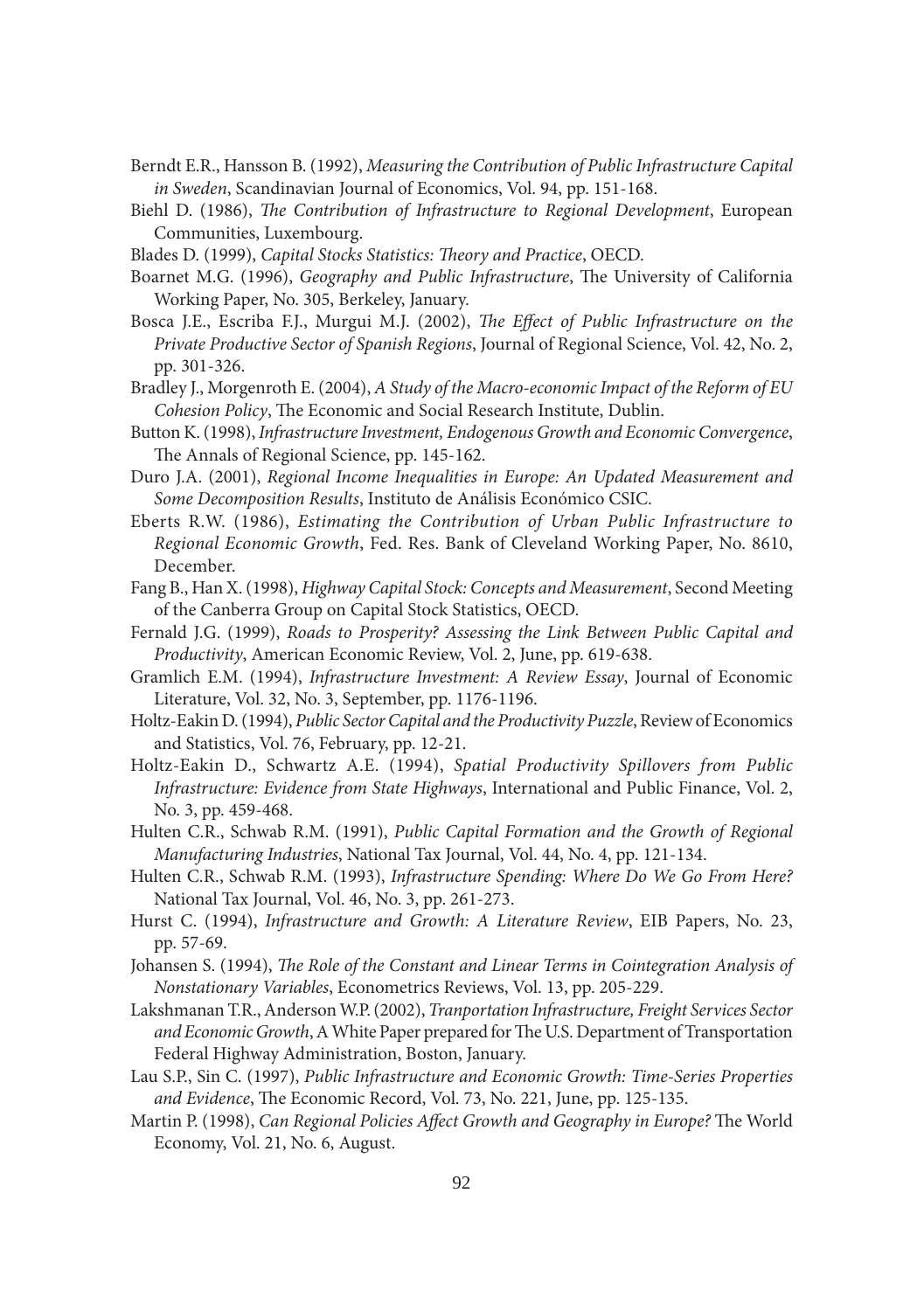- Berndt E.R., Hansson B. (1992), *Measuring the Contribution of Public Infrastructure Capital in Sweden*, Scandinavian Journal of Economics, Vol. 94, pp. 151-168.
- Biehl D. (1986), *The Contribution of Infrastructure to Regional Development*, European Communities, Luxembourg.
- Blades D. (1999), *Capital Stocks Statistics: Theory and Practice*, *OECD*.
- Boarnet M.G. (1996), *Geography and Public Infrastructure*, The University of California Working Paper, No. 305, Berkeley, January.
- Bosca J.E., Escriba F.J., Murgui M.J. (2002), *The Effect of Public Infrastructure on the Private Productive Sector of Spanish Regions*, Journal of Regional Science, Vol. 42, No. 2, pp. 301-326.
- Bradley J., Morgenroth E. (2004), *A Study of the Macro-economic Impact of the Reform of EU Cohesion Policy*, The Economic and Social Research Institute, Dublin.
- Button K. (1998), *Infrastructure Investment, Endogenous Growth and Economic Convergence*, The Annals of Regional Science, pp. 145-162.
- Duro J.A. (2001), *Regional Income Inequalities in Europe: An Updated Measurement and Some Decomposition Results*, Instituto de Análisis Económico CSIC.
- Eberts R.W. (1986), *Estimating the Contribution of Urban Public Infrastructure to Regional Economic Growth*, Fed. Res. Bank of Cleveland Working Paper, No. 8610, December.
- Fang B., Han X. (1998), *Highway Capital Stock: Concepts and Measurement*, Second Meeting of the Canberra Group on Capital Stock Statistics, OECD.
- Fernald J.G. (1999), *Roads to Prosperity? Assessing the Link Between Public Capital and Productivity*, American Economic Review, Vol. 2, June, pp. 619-638.
- Gramlich E.M. (1994), *Infrastructure Investment: A Review Essay*, Journal of Economic Literature, Vol. 32, No. 3, September, pp. 1176-1196.
- Holtz-Eakin D. (1994), *Public Sector Capital and the Productivity Puzzle*, Review of Economics and Statistics, Vol. 76, February, pp. 12-21.
- Holtz-Eakin D., Schwartz A.E. (1994), *Spatial Productivity Spillovers from Public Infrastructure: Evidence from State Highways*, International and Public Finance, Vol. 2, No. 3, pp. 459-468.
- Hulten C.R., Schwab R.M. (1991), *Public Capital Formation and the Growth of Regional Manufacturing Industries*, National Tax Journal, Vol. 44, No. 4, pp. 121-134.
- Hulten C.R., Schwab R.M. (1993), *Infrastructure Spending: Where Do We Go From Here?* National Tax Journal, Vol. 46, No. 3, pp. 261-273.
- Hurst C. (1994), *Infrastructure and Growth: A Literature Review*, EIB Papers, No. 23, pp. 57-69.
- Johansen S. (1994), *The Role of the Constant and Linear Terms in Cointegration Analysis of Nonstationary Variables*, Econometrics Reviews, Vol. 13, pp. 205-229.
- Lakshmanan T.R., Anderson W.P. (2002), *Tranportation Infrastructure, Freight Services Sector*  and Economic Growth, A White Paper prepared for The U.S. Department of Transportation Federal Highway Administration, Boston, January.
- Lau S.P., Sin C. (1997), *Public Infrastructure and Economic Growth: Time-Series Properties*  and Evidence, The Economic Record, Vol. 73, No. 221, June, pp. 125-135.
- Martin P. (1998), *Can Regional Policies Affect Growth and Geography in Europe?* The World Economy, Vol. 21, No. 6, August.